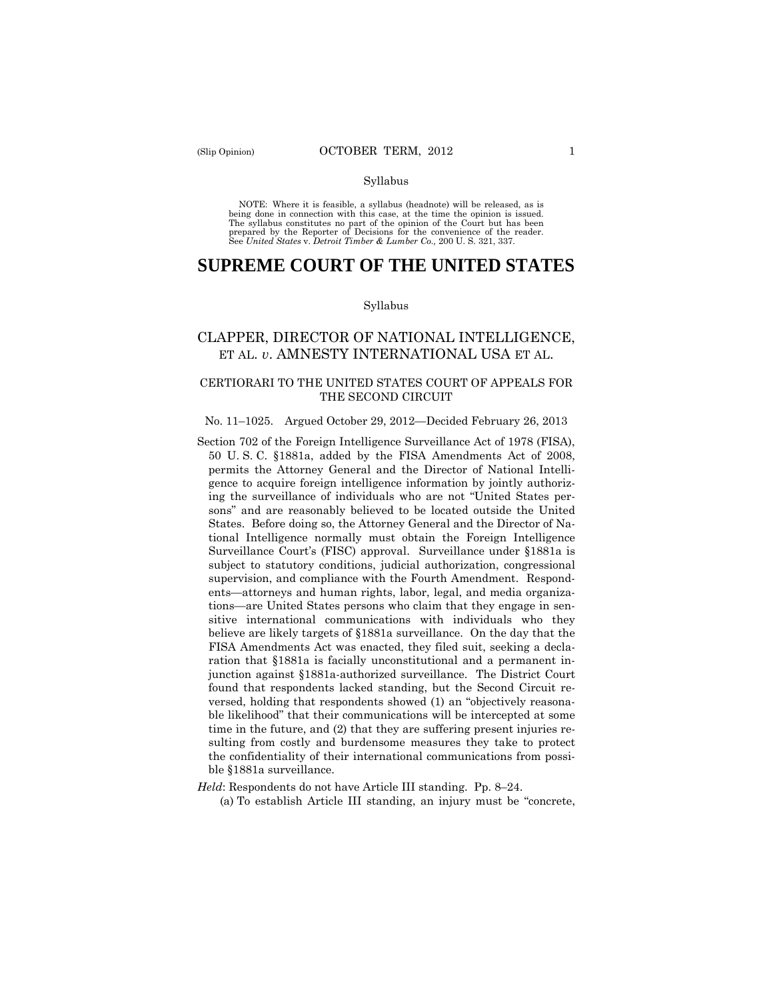#### Syllabus

 NOTE: Where it is feasible, a syllabus (headnote) will be released, as is being done in connection with this case, at the time the opinion is issued. The syllabus constitutes no part of the opinion of the Court but has been<br>prepared by the Reporter of Decisions for the convenience of the reader.<br>See United States v. Detroit Timber & Lumber Co., 200 U.S. 321, 337.

# **SUPREME COURT OF THE UNITED STATES**

#### Syllabus

## CLAPPER, DIRECTOR OF NATIONAL INTELLIGENCE, ET AL. *v*. AMNESTY INTERNATIONAL USA ET AL.

## CERTIORARI TO THE UNITED STATES COURT OF APPEALS FOR THE SECOND CIRCUIT

#### No. 11–1025. Argued October 29, 2012—Decided February 26, 2013

Section 702 of the Foreign Intelligence Surveillance Act of 1978 (FISA), 50 U. S. C. §1881a, added by the FISA Amendments Act of 2008, permits the Attorney General and the Director of National Intelligence to acquire foreign intelligence information by jointly authorizing the surveillance of individuals who are not "United States persons" and are reasonably believed to be located outside the United States. Before doing so, the Attorney General and the Director of National Intelligence normally must obtain the Foreign Intelligence Surveillance Court's (FISC) approval. Surveillance under §1881a is subject to statutory conditions, judicial authorization, congressional supervision, and compliance with the Fourth Amendment. Respondents—attorneys and human rights, labor, legal, and media organizations—are United States persons who claim that they engage in sensitive international communications with individuals who they believe are likely targets of §1881a surveillance. On the day that the FISA Amendments Act was enacted, they filed suit, seeking a declaration that §1881a is facially unconstitutional and a permanent injunction against §1881a-authorized surveillance. The District Court found that respondents lacked standing, but the Second Circuit reversed, holding that respondents showed (1) an "objectively reasonable likelihood" that their communications will be intercepted at some time in the future, and (2) that they are suffering present injuries resulting from costly and burdensome measures they take to protect the confidentiality of their international communications from possible §1881a surveillance.

*Held*: Respondents do not have Article III standing. Pp. 8–24.

(a) To establish Article III standing, an injury must be "concrete,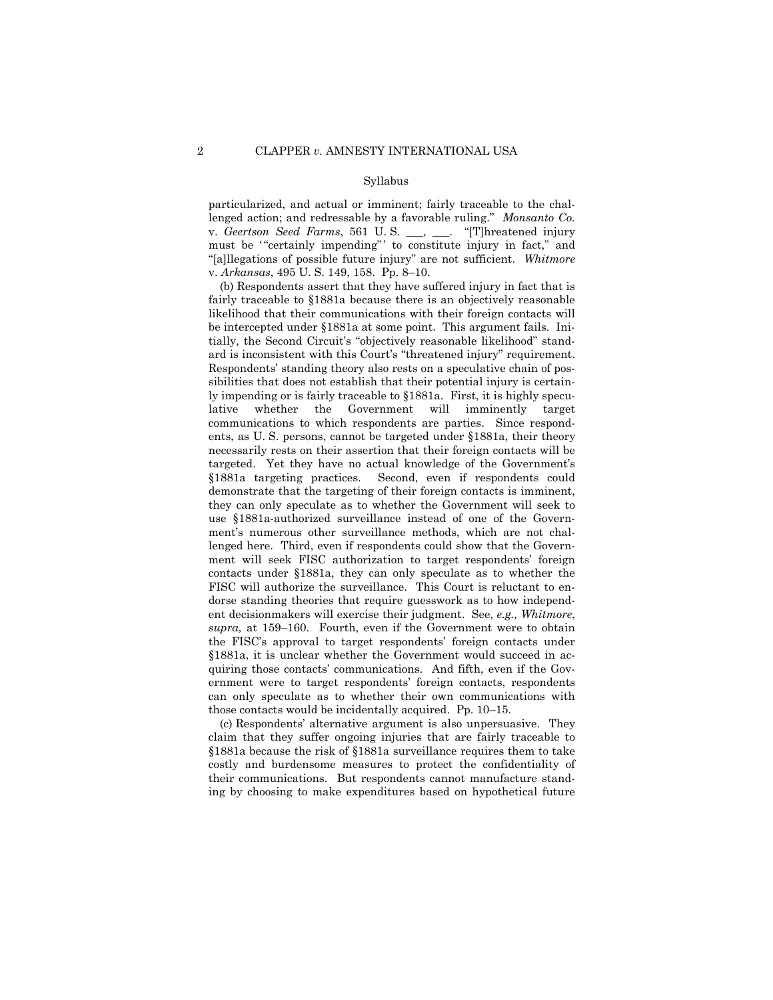#### Syllabus

particularized, and actual or imminent; fairly traceable to the challenged action; and redressable by a favorable ruling." *Monsanto Co.*  v. *Geertson Seed Farms*, 561 U. S. \_\_\_, \_\_\_. "[T]hreatened injury must be '"certainly impending" ' to constitute injury in fact," and "[a]llegations of possible future injury" are not sufficient. *Whitmore*  v. *Arkansas*, 495 U. S. 149, 158. Pp. 8–10.

(b) Respondents assert that they have suffered injury in fact that is fairly traceable to §1881a because there is an objectively reasonable likelihood that their communications with their foreign contacts will be intercepted under §1881a at some point. This argument fails. Initially, the Second Circuit's "objectively reasonable likelihood" standard is inconsistent with this Court's "threatened injury" requirement. Respondents' standing theory also rests on a speculative chain of possibilities that does not establish that their potential injury is certainly impending or is fairly traceable to §1881a. First, it is highly speculative whether the Government will imminently target communications to which respondents are parties. Since respondents, as U. S. persons, cannot be targeted under §1881a, their theory necessarily rests on their assertion that their foreign contacts will be targeted. Yet they have no actual knowledge of the Government's §1881a targeting practices. Second, even if respondents could demonstrate that the targeting of their foreign contacts is imminent, they can only speculate as to whether the Government will seek to use §1881a-authorized surveillance instead of one of the Government's numerous other surveillance methods, which are not challenged here. Third, even if respondents could show that the Government will seek FISC authorization to target respondents' foreign contacts under §1881a, they can only speculate as to whether the FISC will authorize the surveillance. This Court is reluctant to endorse standing theories that require guesswork as to how independent decisionmakers will exercise their judgment. See, *e.g., Whitmore*, *supra,* at 159–160. Fourth, even if the Government were to obtain the FISC's approval to target respondents' foreign contacts under §1881a, it is unclear whether the Government would succeed in acquiring those contacts' communications. And fifth, even if the Government were to target respondents' foreign contacts, respondents can only speculate as to whether their own communications with those contacts would be incidentally acquired. Pp. 10–15.

(c) Respondents' alternative argument is also unpersuasive. They claim that they suffer ongoing injuries that are fairly traceable to §1881a because the risk of §1881a surveillance requires them to take costly and burdensome measures to protect the confidentiality of their communications. But respondents cannot manufacture standing by choosing to make expenditures based on hypothetical future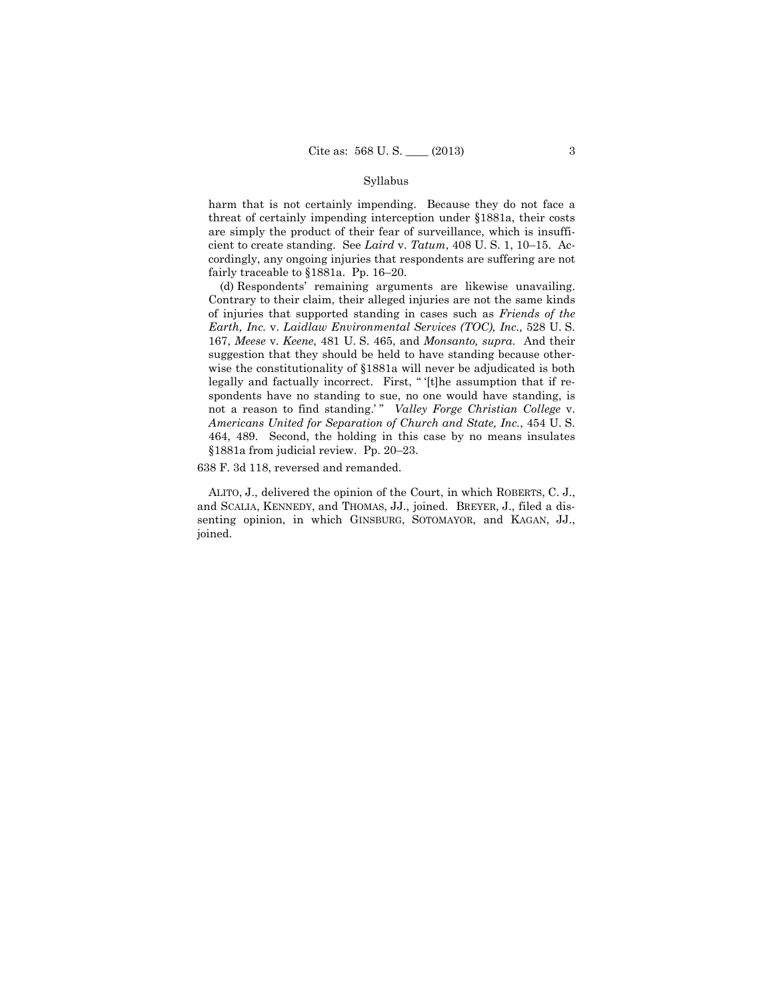### Syllabus

harm that is not certainly impending. Because they do not face a threat of certainly impending interception under §1881a, their costs are simply the product of their fear of surveillance, which is insufficient to create standing. See *Laird* v. *Tatum*, 408 U. S. 1, 10–15. Accordingly, any ongoing injuries that respondents are suffering are not fairly traceable to §1881a. Pp. 16–20.

(d) Respondents' remaining arguments are likewise unavailing. Contrary to their claim, their alleged injuries are not the same kinds of injuries that supported standing in cases such as *Friends of the Earth, Inc.* v. *Laidlaw Environmental Services (TOC), Inc.,* 528 U. S. 167, *Meese* v. *Keene*, 481 U. S. 465, and *Monsanto, supra.* And their suggestion that they should be held to have standing because otherwise the constitutionality of §1881a will never be adjudicated is both legally and factually incorrect. First, " '[t]he assumption that if respondents have no standing to sue, no one would have standing, is not a reason to find standing.'" *Valley Forge Christian College* v. *Americans United for Separation of Church and State, Inc.*, 454 U. S. 464, 489. Second, the holding in this case by no means insulates §1881a from judicial review. Pp. 20–23.

638 F. 3d 118, reversed and remanded.

 ALITO, J., delivered the opinion of the Court, in which ROBERTS, C. J., and SCALIA, KENNEDY, and THOMAS, JJ., joined. BREYER, J., filed a dissenting opinion, in which GINSBURG, SOTOMAYOR, and KAGAN, JJ., joined.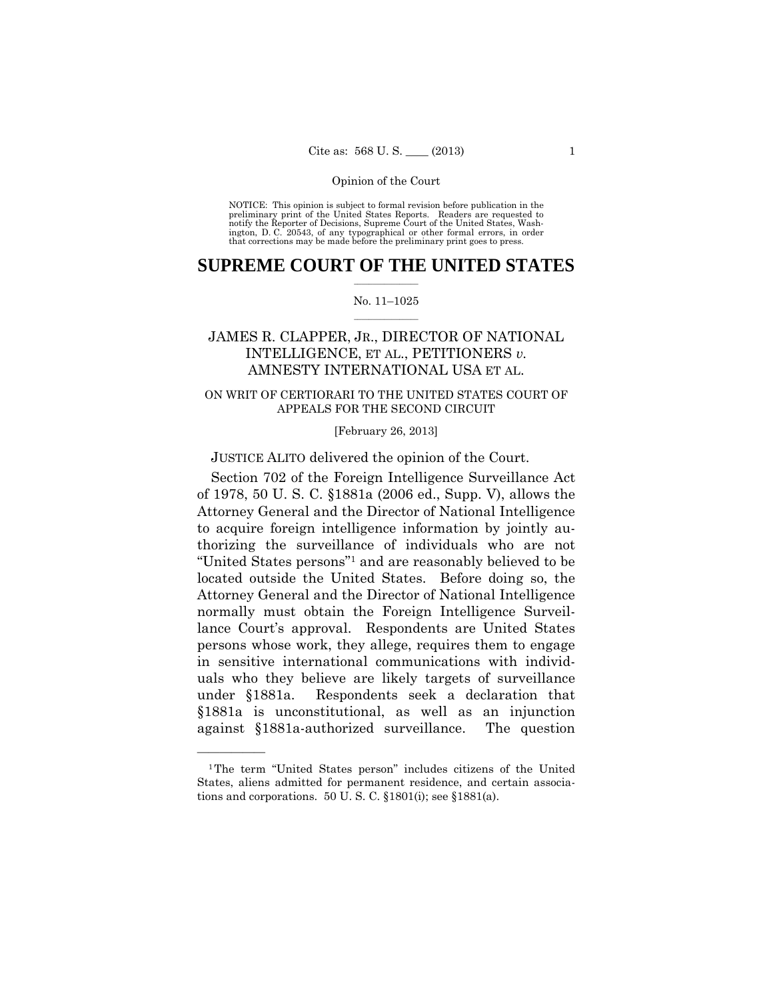preliminary print of the United States Reports. Readers are requested to notify the Reporter of Decisions, Supreme Court of the United States, Wash- ington, D. C. 20543, of any typographical or other formal errors, in order that corrections may be made before the preliminary print goes to press. NOTICE: This opinion is subject to formal revision before publication in the

## $\frac{1}{2}$  ,  $\frac{1}{2}$  ,  $\frac{1}{2}$  ,  $\frac{1}{2}$  ,  $\frac{1}{2}$  ,  $\frac{1}{2}$  ,  $\frac{1}{2}$ **SUPREME COURT OF THE UNITED STATES**

#### $\frac{1}{2}$  ,  $\frac{1}{2}$  ,  $\frac{1}{2}$  ,  $\frac{1}{2}$  ,  $\frac{1}{2}$  ,  $\frac{1}{2}$ No. 11–1025

# JAMES R. CLAPPER, JR., DIRECTOR OF NATIONAL INTELLIGENCE, ET AL., PETITIONERS *v.* AMNESTY INTERNATIONAL USA ET AL.

## ON WRIT OF CERTIORARI TO THE UNITED STATES COURT OF APPEALS FOR THE SECOND CIRCUIT

[February 26, 2013]

JUSTICE ALITO delivered the opinion of the Court.

Section 702 of the Foreign Intelligence Surveillance Act of 1978, 50 U. S. C. §1881a (2006 ed., Supp. V), allows the Attorney General and the Director of National Intelligence to acquire foreign intelligence information by jointly authorizing the surveillance of individuals who are not "United States persons"1 and are reasonably believed to be located outside the United States. Before doing so, the Attorney General and the Director of National Intelligence normally must obtain the Foreign Intelligence Surveillance Court's approval. Respondents are United States persons whose work, they allege, requires them to engage in sensitive international communications with individuals who they believe are likely targets of surveillance under §1881a. Respondents seek a declaration that §1881a is unconstitutional, as well as an injunction against §1881a-authorized surveillance. The question

——————

<sup>1</sup>The term "United States person" includes citizens of the United States, aliens admitted for permanent residence, and certain associations and corporations. 50 U. S. C. §1801(i); see §1881(a).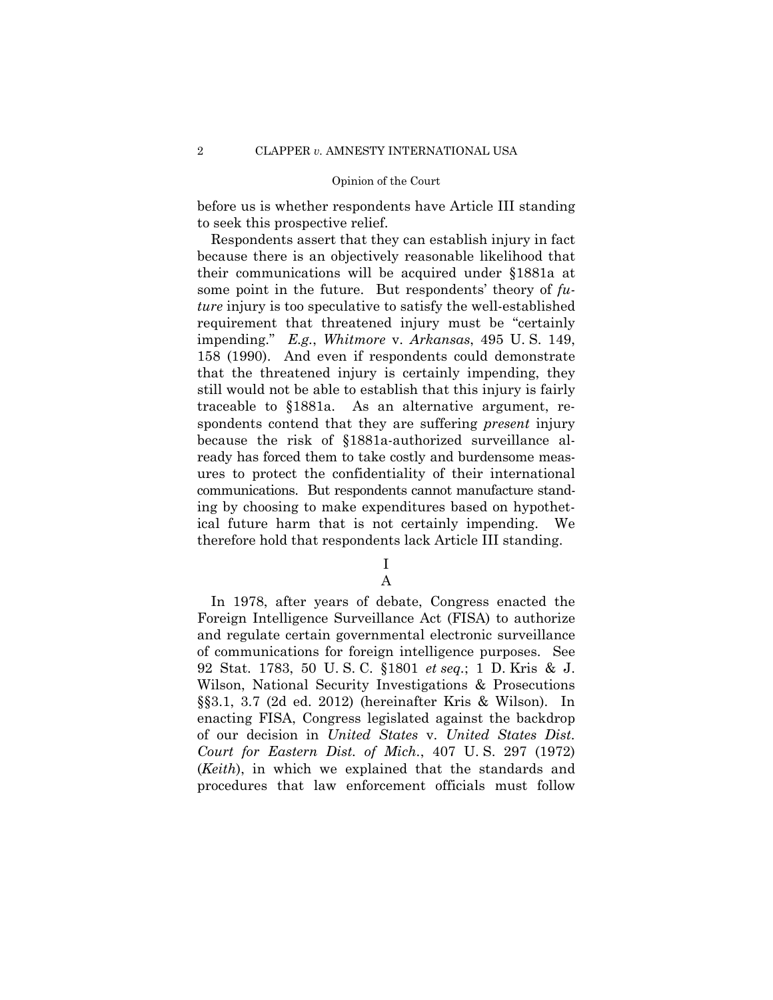before us is whether respondents have Article III standing to seek this prospective relief.

Respondents assert that they can establish injury in fact because there is an objectively reasonable likelihood that their communications will be acquired under §1881a at some point in the future. But respondents' theory of *future* injury is too speculative to satisfy the well-established requirement that threatened injury must be "certainly impending." *E.g.*, *Whitmore* v. *Arkansas*, 495 U. S. 149, 158 (1990). And even if respondents could demonstrate that the threatened injury is certainly impending, they still would not be able to establish that this injury is fairly traceable to §1881a. As an alternative argument, respondents contend that they are suffering *present* injury because the risk of §1881a-authorized surveillance already has forced them to take costly and burdensome measures to protect the confidentiality of their international communications. But respondents cannot manufacture standing by choosing to make expenditures based on hypothetical future harm that is not certainly impending. We therefore hold that respondents lack Article III standing.

# I

A

In 1978, after years of debate, Congress enacted the Foreign Intelligence Surveillance Act (FISA) to authorize and regulate certain governmental electronic surveillance of communications for foreign intelligence purposes. See 92 Stat. 1783, 50 U. S. C. §1801 *et seq.*; 1 D. Kris & J. Wilson, National Security Investigations & Prosecutions §§3.1, 3.7 (2d ed. 2012) (hereinafter Kris & Wilson). In enacting FISA, Congress legislated against the backdrop of our decision in *United States* v. *United States Dist. Court for Eastern Dist. of Mich.*, 407 U. S. 297 (1972) (*Keith*), in which we explained that the standards and procedures that law enforcement officials must follow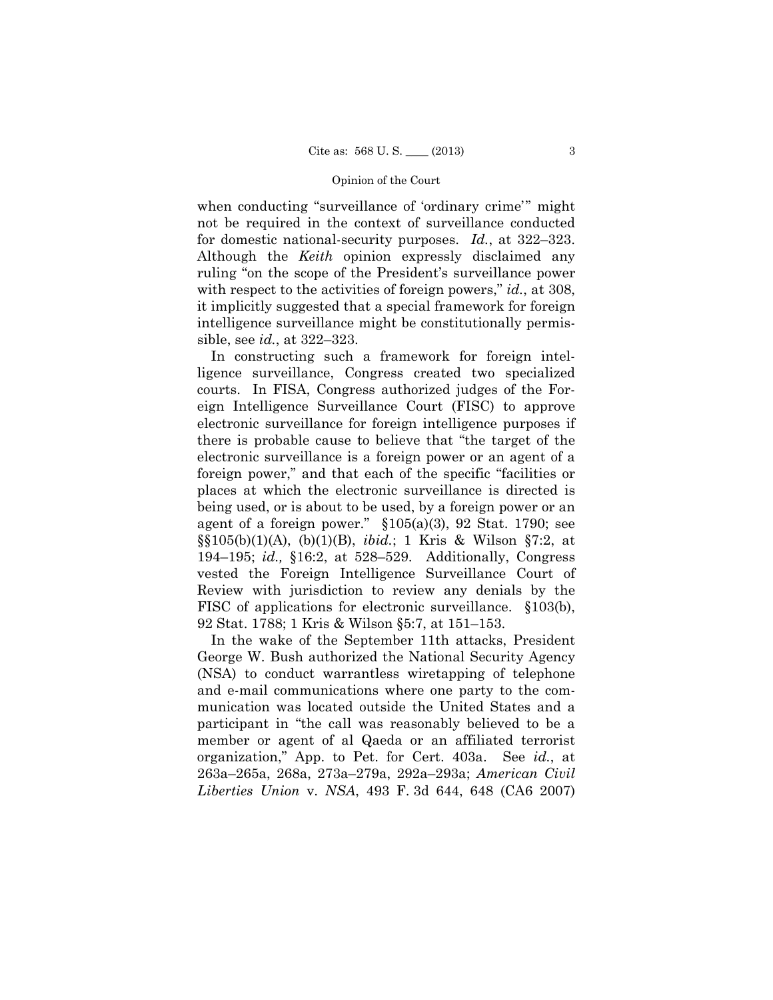for domestic national-security purposes. *Id.*, at 322–323. when conducting "surveillance of 'ordinary crime'" might not be required in the context of surveillance conducted Although the *Keith* opinion expressly disclaimed any ruling "on the scope of the President's surveillance power with respect to the activities of foreign powers," *id.*, at 308, it implicitly suggested that a special framework for foreign intelligence surveillance might be constitutionally permissible, see *id.*, at 322–323.

In constructing such a framework for foreign intelligence surveillance, Congress created two specialized courts. In FISA, Congress authorized judges of the Foreign Intelligence Surveillance Court (FISC) to approve electronic surveillance for foreign intelligence purposes if there is probable cause to believe that "the target of the electronic surveillance is a foreign power or an agent of a foreign power," and that each of the specific "facilities or places at which the electronic surveillance is directed is being used, or is about to be used, by a foreign power or an agent of a foreign power."  $$105(a)(3), 92$  Stat. 1790; see §§105(b)(1)(A), (b)(1)(B), *ibid.*; 1 Kris & Wilson §7:2, at 194–195; *id.,* §16:2, at 528–529. Additionally, Congress vested the Foreign Intelligence Surveillance Court of Review with jurisdiction to review any denials by the FISC of applications for electronic surveillance. §103(b), 92 Stat. 1788; 1 Kris & Wilson §5:7, at 151–153.

In the wake of the September 11th attacks, President George W. Bush authorized the National Security Agency (NSA) to conduct warrantless wiretapping of telephone and e-mail communications where one party to the communication was located outside the United States and a participant in "the call was reasonably believed to be a member or agent of al Qaeda or an affiliated terrorist organization," App. to Pet. for Cert. 403a. See *id.*, at 263a–265a, 268a, 273a–279a, 292a–293a; *American Civil Liberties Union* v. *NSA*, 493 F. 3d 644, 648 (CA6 2007)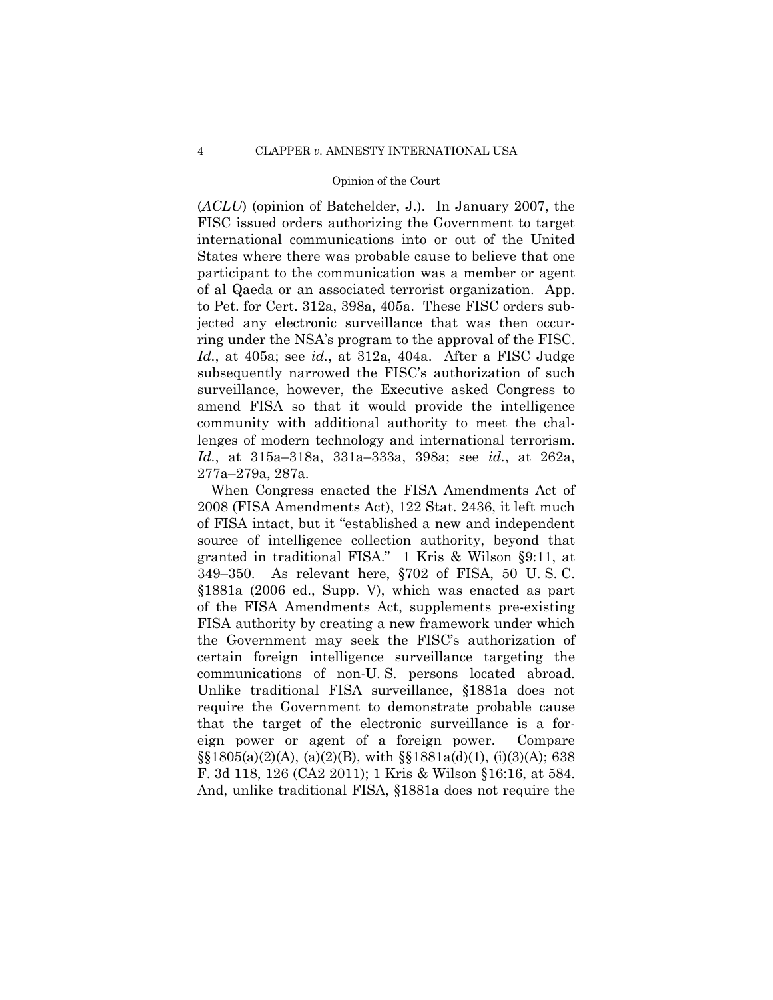(*ACLU*) (opinion of Batchelder, J.). In January 2007, the FISC issued orders authorizing the Government to target international communications into or out of the United States where there was probable cause to believe that one participant to the communication was a member or agent of al Qaeda or an associated terrorist organization. App. to Pet. for Cert. 312a, 398a, 405a. These FISC orders subjected any electronic surveillance that was then occurring under the NSA's program to the approval of the FISC. *Id.*, at 405a; see *id.*, at 312a, 404a. After a FISC Judge subsequently narrowed the FISC's authorization of such surveillance, however, the Executive asked Congress to amend FISA so that it would provide the intelligence community with additional authority to meet the challenges of modern technology and international terrorism. *Id.*, at 315a–318a, 331a–333a, 398a; see *id.*, at 262a, 277a–279a, 287a.

When Congress enacted the FISA Amendments Act of 2008 (FISA Amendments Act), 122 Stat. 2436, it left much of FISA intact, but it "established a new and independent source of intelligence collection authority, beyond that granted in traditional FISA." 1 Kris & Wilson §9:11, at 349–350. As relevant here, §702 of FISA, 50 U. S. C. §1881a (2006 ed., Supp. V), which was enacted as part of the FISA Amendments Act, supplements pre-existing FISA authority by creating a new framework under which the Government may seek the FISC's authorization of certain foreign intelligence surveillance targeting the communications of non-U. S. persons located abroad. Unlike traditional FISA surveillance, §1881a does not require the Government to demonstrate probable cause that the target of the electronic surveillance is a foreign power or agent of a foreign power. Compare  $\S$ [\stat{3}\$1805(a)(2)(A), (a)(2)(B), with  $\S$ [\stat{3}\$1881a(d)(1), (i)(3)(A); 638 F. 3d 118, 126 (CA2 2011); 1 Kris & Wilson §16:16, at 584. And, unlike traditional FISA, §1881a does not require the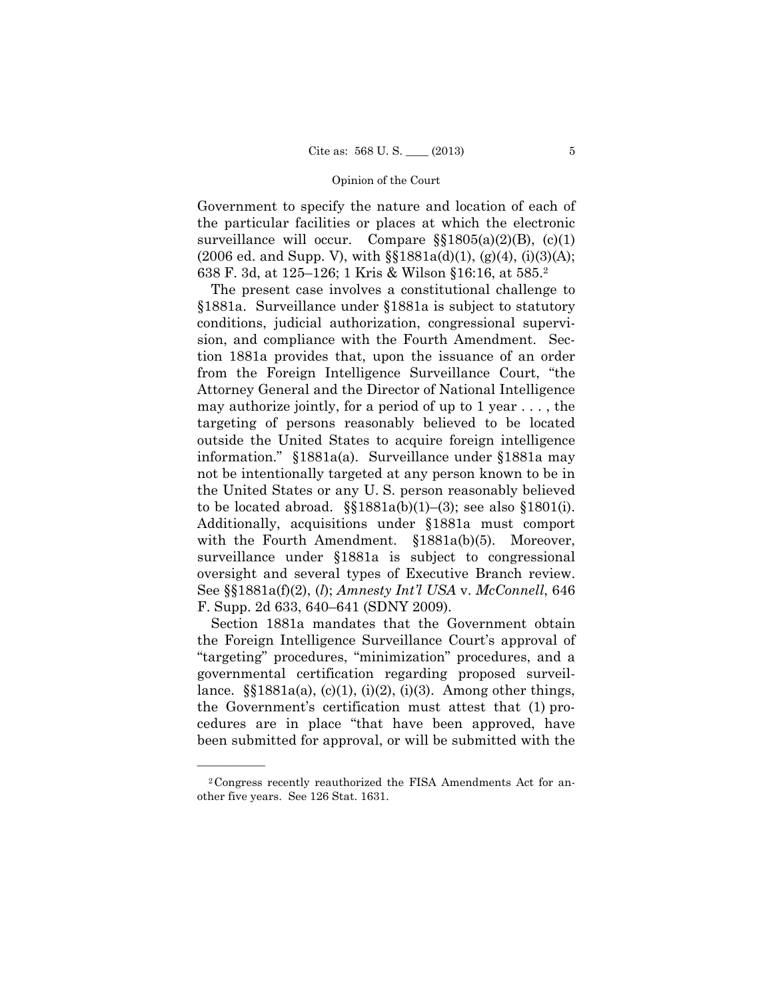Government to specify the nature and location of each of the particular facilities or places at which the electronic surveillance will occur. Compare §§1805(a)(2)(B), (c)(1)  $(2006 \text{ ed. and Supp. V})$ , with  $\S$  $1881a(d)(1)$ ,  $(g)(4)$ ,  $(i)(3)(A)$ ; 638 F. 3d, at 125–126; 1 Kris & Wilson §16:16, at 585.2

The present case involves a constitutional challenge to §1881a. Surveillance under §1881a is subject to statutory conditions, judicial authorization, congressional supervision, and compliance with the Fourth Amendment. Section 1881a provides that, upon the issuance of an order from the Foreign Intelligence Surveillance Court, "the Attorney General and the Director of National Intelligence may authorize jointly, for a period of up to 1 year  $\dots$ , the targeting of persons reasonably believed to be located outside the United States to acquire foreign intelligence information." §1881a(a). Surveillance under §1881a may not be intentionally targeted at any person known to be in the United States or any U. S. person reasonably believed to be located abroad.  $\S$  $1881a(b)(1)–(3)$ ; see also  $\S$  $1801(i)$ . Additionally, acquisitions under §1881a must comport with the Fourth Amendment. §1881a(b)(5). Moreover, surveillance under §1881a is subject to congressional oversight and several types of Executive Branch review. See §§1881a(f)(2), (*l*); *Amnesty Int'l USA* v. *McConnell*, 646 F. Supp. 2d 633, 640–641 (SDNY 2009).

Section 1881a mandates that the Government obtain the Foreign Intelligence Surveillance Court's approval of "targeting" procedures, "minimization" procedures, and a governmental certification regarding proposed surveillance.  $\S$  $1881a(a)$ , (c)(1), (i)(2), (i)(3). Among other things, the Government's certification must attest that (1) procedures are in place "that have been approved, have been submitted for approval, or will be submitted with the

——————

<sup>2</sup>Congress recently reauthorized the FISA Amendments Act for another five years. See 126 Stat. 1631.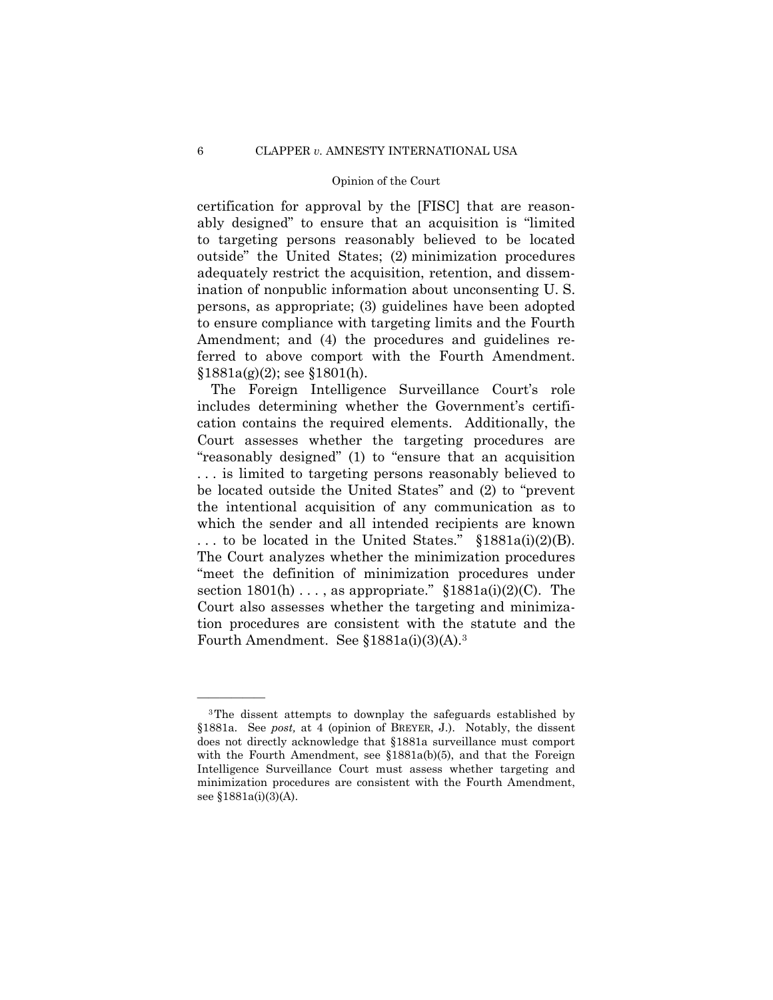certification for approval by the [FISC] that are reasonably designed" to ensure that an acquisition is "limited to targeting persons reasonably believed to be located outside" the United States; (2) minimization procedures adequately restrict the acquisition, retention, and dissemination of nonpublic information about unconsenting U. S. persons, as appropriate; (3) guidelines have been adopted to ensure compliance with targeting limits and the Fourth Amendment; and (4) the procedures and guidelines referred to above comport with the Fourth Amendment.  $$1881a(g)(2);$  see  $$1801(h).$ 

... to be located in the United States."  $§1881a(i)(2)(B)$ . The Foreign Intelligence Surveillance Court's role includes determining whether the Government's certification contains the required elements. Additionally, the Court assesses whether the targeting procedures are "reasonably designed" (1) to "ensure that an acquisition . . . is limited to targeting persons reasonably believed to be located outside the United States" and (2) to "prevent the intentional acquisition of any communication as to which the sender and all intended recipients are known The Court analyzes whether the minimization procedures "meet the definition of minimization procedures under section  $1801(h) \ldots$ , as appropriate."  $$1881a(i)(2)(C)$ . The Court also assesses whether the targeting and minimization procedures are consistent with the statute and the Fourth Amendment. See §1881a(i)(3)(A).3

——————

<sup>3</sup>The dissent attempts to downplay the safeguards established by §1881a. See *post,* at 4 (opinion of BREYER, J.). Notably, the dissent does not directly acknowledge that §1881a surveillance must comport with the Fourth Amendment, see §1881a(b)(5), and that the Foreign Intelligence Surveillance Court must assess whether targeting and minimization procedures are consistent with the Fourth Amendment, see §1881a(i)(3)(A).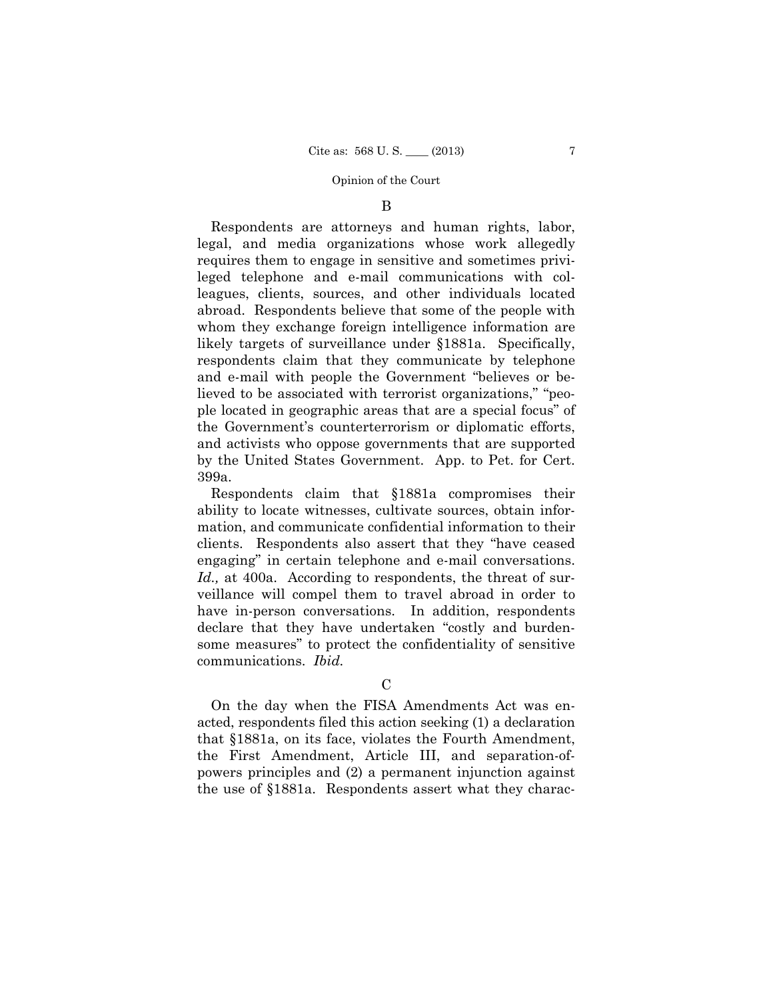### B

Respondents are attorneys and human rights, labor, legal, and media organizations whose work allegedly requires them to engage in sensitive and sometimes privileged telephone and e-mail communications with colleagues, clients, sources, and other individuals located abroad. Respondents believe that some of the people with whom they exchange foreign intelligence information are likely targets of surveillance under §1881a. Specifically, respondents claim that they communicate by telephone and e-mail with people the Government "believes or believed to be associated with terrorist organizations," "people located in geographic areas that are a special focus" of the Government's counterterrorism or diplomatic efforts, and activists who oppose governments that are supported by the United States Government. App. to Pet. for Cert. 399a.

Respondents claim that §1881a compromises their ability to locate witnesses, cultivate sources, obtain information, and communicate confidential information to their clients. Respondents also assert that they "have ceased engaging" in certain telephone and e-mail conversations. *Id.,* at 400a. According to respondents, the threat of surveillance will compel them to travel abroad in order to have in-person conversations. In addition, respondents declare that they have undertaken "costly and burdensome measures" to protect the confidentiality of sensitive communications. *Ibid.* 

## $\mathcal{C}$

On the day when the FISA Amendments Act was enacted, respondents filed this action seeking (1) a declaration that §1881a, on its face, violates the Fourth Amendment, the First Amendment, Article III, and separation-ofpowers principles and (2) a permanent injunction against the use of §1881a. Respondents assert what they charac-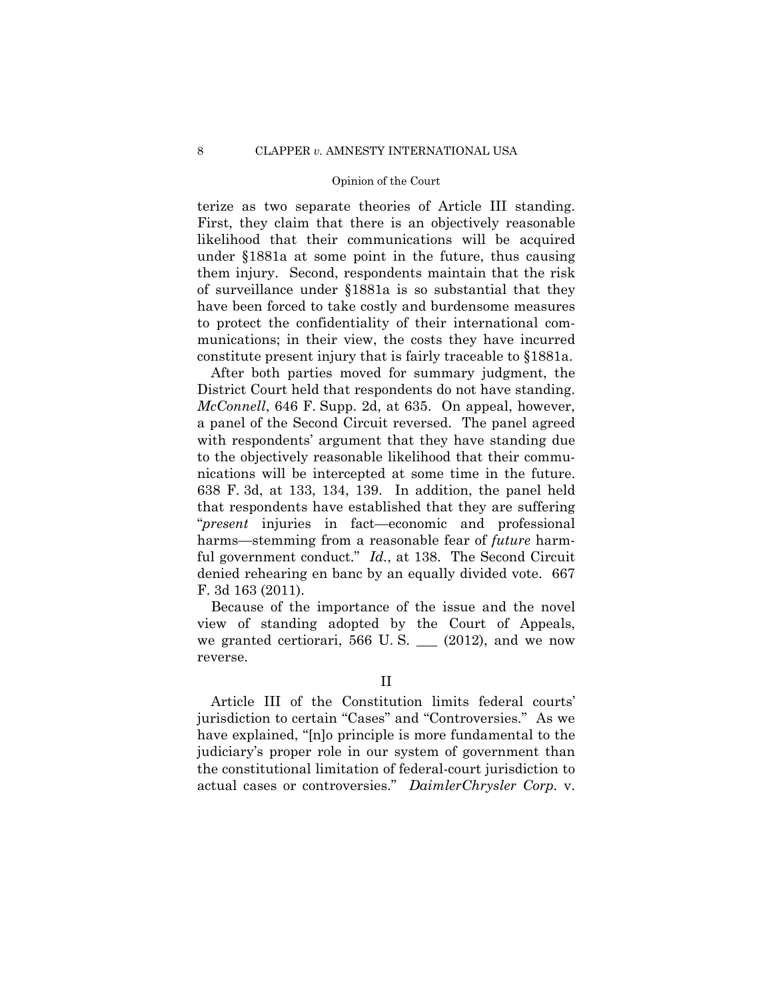terize as two separate theories of Article III standing. First, they claim that there is an objectively reasonable likelihood that their communications will be acquired under §1881a at some point in the future, thus causing them injury. Second, respondents maintain that the risk of surveillance under §1881a is so substantial that they have been forced to take costly and burdensome measures to protect the confidentiality of their international communications; in their view, the costs they have incurred constitute present injury that is fairly traceable to §1881a.

 nications will be intercepted at some time in the future. After both parties moved for summary judgment, the District Court held that respondents do not have standing. *McConnell*, 646 F. Supp. 2d, at 635. On appeal, however, a panel of the Second Circuit reversed. The panel agreed with respondents' argument that they have standing due to the objectively reasonable likelihood that their commu-638 F. 3d, at 133, 134, 139. In addition, the panel held that respondents have established that they are suffering "*present* injuries in fact—economic and professional harms—stemming from a reasonable fear of *future* harmful government conduct." *Id.*, at 138. The Second Circuit denied rehearing en banc by an equally divided vote. 667 F. 3d 163 (2011).

Because of the importance of the issue and the novel view of standing adopted by the Court of Appeals, we granted certiorari, 566 U.S.  $\_\_$  (2012), and we now reverse.

Article III of the Constitution limits federal courts' jurisdiction to certain "Cases" and "Controversies." As we have explained, "[n]o principle is more fundamental to the judiciary's proper role in our system of government than the constitutional limitation of federal-court jurisdiction to actual cases or controversies." *DaimlerChrysler Corp.* v.

II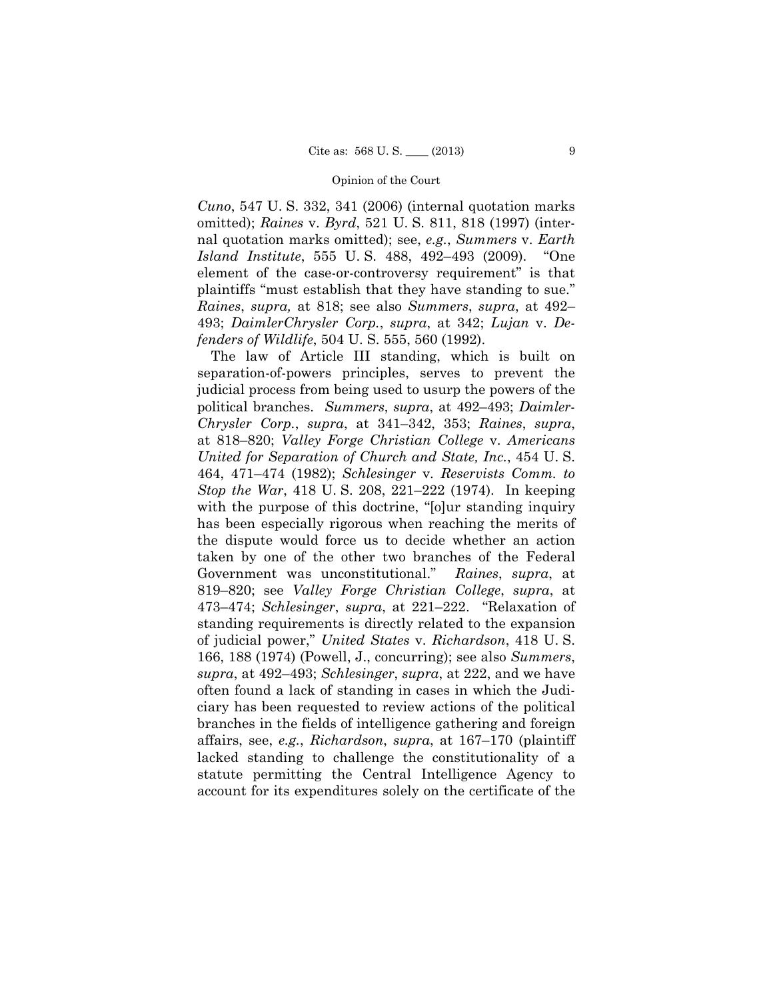*Cuno*, 547 U. S. 332, 341 (2006) (internal quotation marks omitted); *Raines* v. *Byrd*, 521 U. S. 811, 818 (1997) (internal quotation marks omitted); see, *e.g.*, *Summers* v. *Earth Island Institute*, 555 U. S. 488, 492–493 (2009). "One element of the case-or-controversy requirement" is that plaintiffs "must establish that they have standing to sue." *Raines*, *supra,* at 818; see also *Summers*, *supra*, at 492– 493; *DaimlerChrysler Corp.*, *supra*, at 342; *Lujan* v. *Defenders of Wildlife*, 504 U. S. 555, 560 (1992).

 political branches. *Summers*, *supra*, at 492–493; *Daimler*-The law of Article III standing, which is built on separation-of-powers principles, serves to prevent the judicial process from being used to usurp the powers of the *Chrysler Corp.*, *supra*, at 341–342, 353; *Raines*, *supra*, at 818–820; *Valley Forge Christian College* v. *Americans United for Separation of Church and State, Inc.*, 454 U. S. 464, 471–474 (1982); *Schlesinger* v. *Reservists Comm. to Stop the War*, 418 U. S. 208, 221–222 (1974). In keeping with the purpose of this doctrine, "[o]ur standing inquiry has been especially rigorous when reaching the merits of the dispute would force us to decide whether an action taken by one of the other two branches of the Federal Government was unconstitutional." *Raines*, *supra*, at 819–820; see *Valley Forge Christian College*, *supra*, at 473–474; *Schlesinger*, *supra*, at 221–222. "Relaxation of standing requirements is directly related to the expansion of judicial power," *United States* v. *Richardson*, 418 U. S. 166, 188 (1974) (Powell, J., concurring); see also *Summers*, *supra*, at 492–493; *Schlesinger*, *supra*, at 222, and we have often found a lack of standing in cases in which the Judiciary has been requested to review actions of the political branches in the fields of intelligence gathering and foreign affairs, see, *e.g.*, *Richardson*, *supra*, at 167–170 (plaintiff lacked standing to challenge the constitutionality of a statute permitting the Central Intelligence Agency to account for its expenditures solely on the certificate of the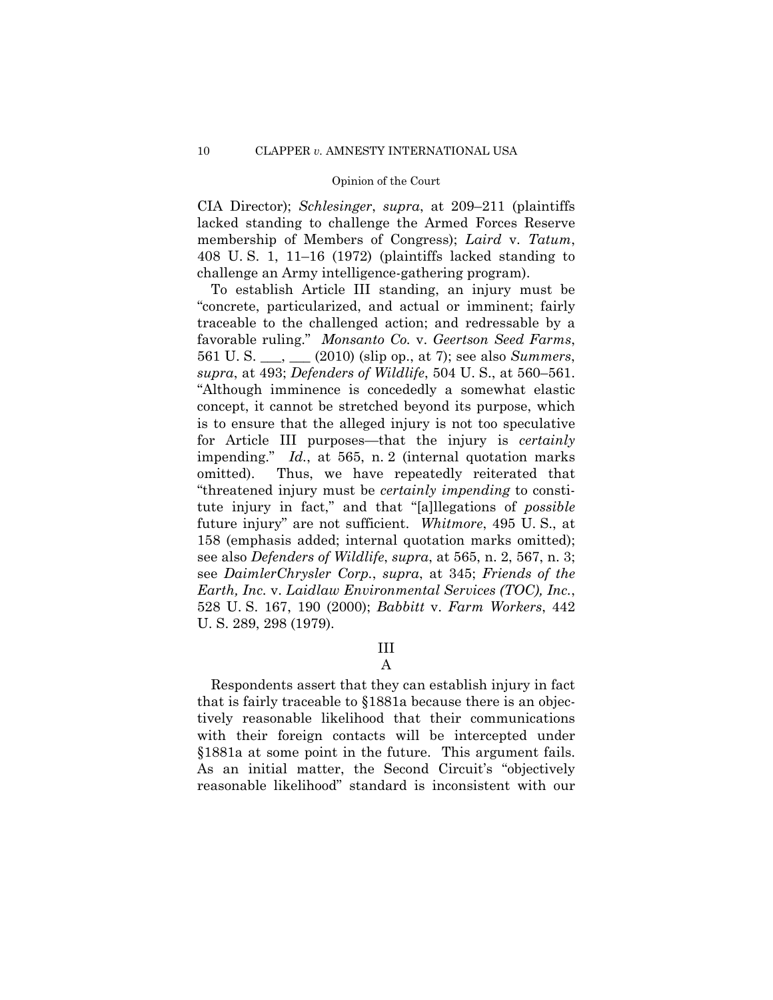CIA Director); *Schlesinger*, *supra*, at 209–211 (plaintiffs lacked standing to challenge the Armed Forces Reserve membership of Members of Congress); *Laird* v. *Tatum*, 408 U. S. 1, 11–16 (1972) (plaintiffs lacked standing to challenge an Army intelligence-gathering program).

To establish Article III standing, an injury must be "concrete, particularized, and actual or imminent; fairly traceable to the challenged action; and redressable by a favorable ruling." *Monsanto Co.* v. *Geertson Seed Farms*, 561 U. S. \_\_\_, \_\_\_ (2010) (slip op., at 7); see also *Summers*, *supra*, at 493; *Defenders of Wildlife*, 504 U. S., at 560–561. "Although imminence is concededly a somewhat elastic concept, it cannot be stretched beyond its purpose, which is to ensure that the alleged injury is not too speculative for Article III purposes—that the injury is *certainly*  impending." *Id.*, at 565, n. 2 (internal quotation marks omitted). Thus, we have repeatedly reiterated that "threatened injury must be *certainly impending* to constitute injury in fact," and that "[a]llegations of *possible*  future injury" are not sufficient. *Whitmore*, 495 U. S., at 158 (emphasis added; internal quotation marks omitted); see also *Defenders of Wildlife*, *supra*, at 565, n. 2, 567, n. 3; see *DaimlerChrysler Corp.*, *supra*, at 345; *Friends of the Earth, Inc.* v. *Laidlaw Environmental Services (TOC), Inc.*, 528 U. S. 167, 190 (2000); *Babbitt* v. *Farm Workers*, 442 U. S. 289, 298 (1979).

III

A

Respondents assert that they can establish injury in fact that is fairly traceable to §1881a because there is an objectively reasonable likelihood that their communications with their foreign contacts will be intercepted under §1881a at some point in the future. This argument fails. As an initial matter, the Second Circuit's "objectively reasonable likelihood" standard is inconsistent with our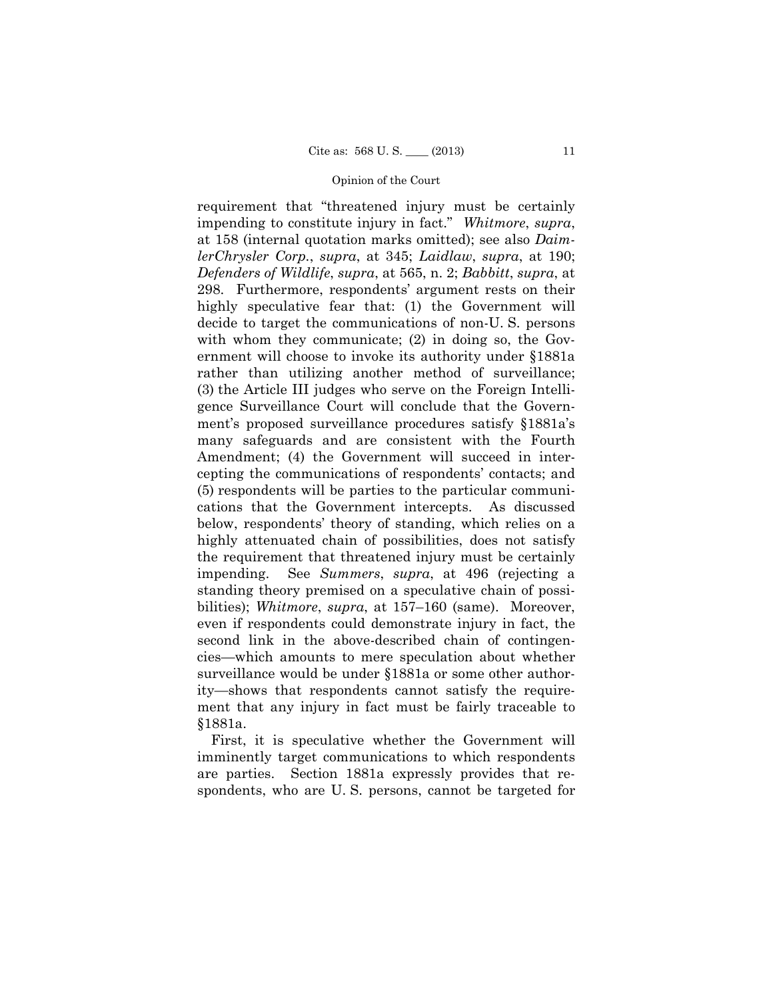below, respondents' theory of standing, which relies on a requirement that "threatened injury must be certainly impending to constitute injury in fact." *Whitmore*, *supra*, at 158 (internal quotation marks omitted); see also *DaimlerChrysler Corp.*, *supra*, at 345; *Laidlaw*, *supra*, at 190; *Defenders of Wildlife*, *supra*, at 565, n. 2; *Babbitt*, *supra*, at 298. Furthermore, respondents' argument rests on their highly speculative fear that: (1) the Government will decide to target the communications of non-U. S. persons with whom they communicate; (2) in doing so, the Government will choose to invoke its authority under §1881a rather than utilizing another method of surveillance; (3) the Article III judges who serve on the Foreign Intelligence Surveillance Court will conclude that the Government's proposed surveillance procedures satisfy §1881a's many safeguards and are consistent with the Fourth Amendment; (4) the Government will succeed in intercepting the communications of respondents' contacts; and (5) respondents will be parties to the particular communications that the Government intercepts. As discussed highly attenuated chain of possibilities, does not satisfy the requirement that threatened injury must be certainly impending. See *Summers*, *supra*, at 496 (rejecting a standing theory premised on a speculative chain of possibilities); *Whitmore*, *supra*, at 157–160 (same). Moreover, even if respondents could demonstrate injury in fact, the second link in the above-described chain of contingencies—which amounts to mere speculation about whether surveillance would be under §1881a or some other authority—shows that respondents cannot satisfy the requirement that any injury in fact must be fairly traceable to §1881a.

First, it is speculative whether the Government will imminently target communications to which respondents are parties. Section 1881a expressly provides that respondents, who are U. S. persons, cannot be targeted for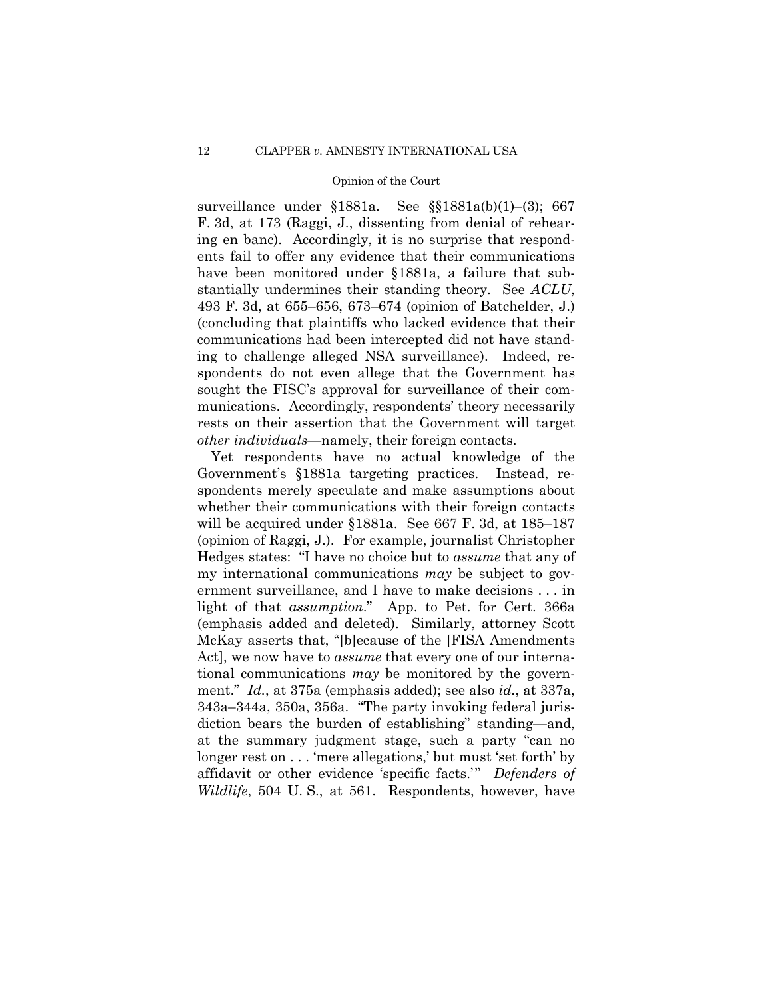ing to challenge alleged NSA surveillance). Indeed, resurveillance under §1881a. See §§1881a(b)(1)–(3); 667 F. 3d, at 173 (Raggi, J., dissenting from denial of rehearing en banc). Accordingly, it is no surprise that respondents fail to offer any evidence that their communications have been monitored under §1881a, a failure that substantially undermines their standing theory. See *ACLU*, 493 F. 3d, at 655–656, 673–674 (opinion of Batchelder, J.) (concluding that plaintiffs who lacked evidence that their communications had been intercepted did not have standspondents do not even allege that the Government has sought the FISC's approval for surveillance of their communications. Accordingly, respondents' theory necessarily rests on their assertion that the Government will target *other individuals*—namely, their foreign contacts.

Yet respondents have no actual knowledge of the Government's §1881a targeting practices. Instead, respondents merely speculate and make assumptions about whether their communications with their foreign contacts will be acquired under §1881a. See 667 F. 3d, at 185–187 (opinion of Raggi, J.). For example, journalist Christopher Hedges states: "I have no choice but to *assume* that any of my international communications *may* be subject to government surveillance, and I have to make decisions . . . in light of that *assumption*." App. to Pet. for Cert. 366a (emphasis added and deleted). Similarly, attorney Scott McKay asserts that, "[b]ecause of the [FISA Amendments Act], we now have to *assume* that every one of our international communications *may* be monitored by the government." *Id.*, at 375a (emphasis added); see also *id.*, at 337a, 343a–344a, 350a, 356a. "The party invoking federal jurisdiction bears the burden of establishing" standing—and, at the summary judgment stage, such a party "can no longer rest on . . . 'mere allegations,' but must 'set forth' by affidavit or other evidence 'specific facts.'" *Defenders of Wildlife*, 504 U. S., at 561. Respondents, however, have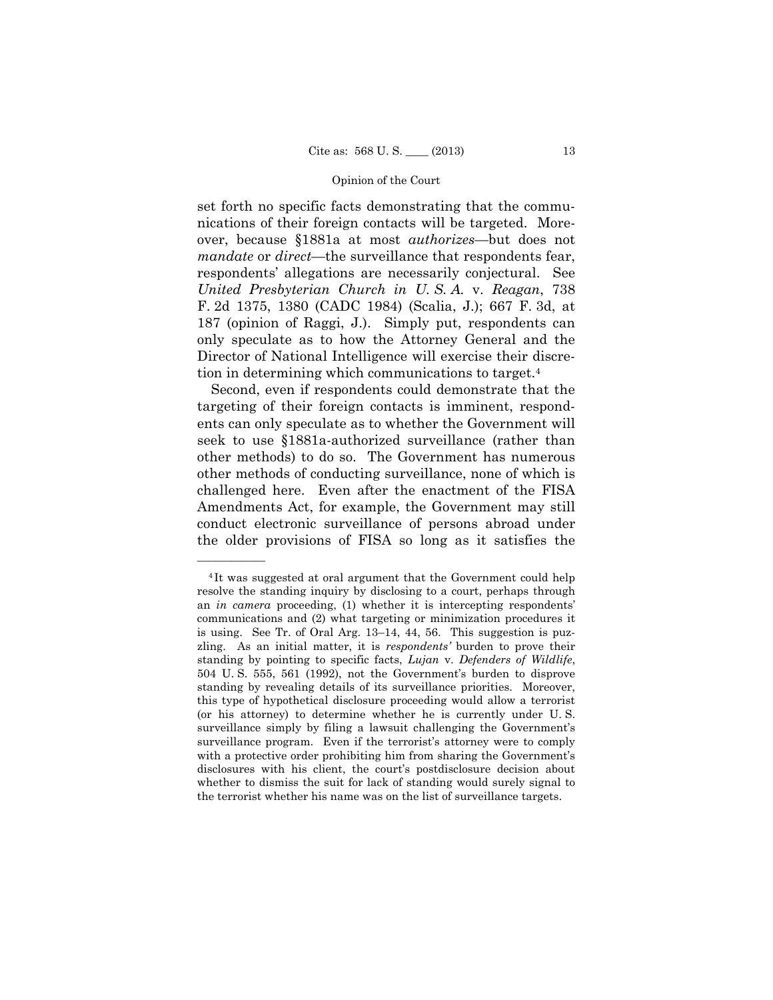set forth no specific facts demonstrating that the communications of their foreign contacts will be targeted. Moreover, because §1881a at most *authorizes*—but does not *mandate* or *direct*—the surveillance that respondents fear, respondents' allegations are necessarily conjectural. See *United Presbyterian Church in U. S. A.* v. *Reagan*, 738 F. 2d 1375, 1380 (CADC 1984) (Scalia, J.); 667 F. 3d, at 187 (opinion of Raggi, J.). Simply put, respondents can only speculate as to how the Attorney General and the Director of National Intelligence will exercise their discretion in determining which communications to target.4

Second, even if respondents could demonstrate that the targeting of their foreign contacts is imminent, respondents can only speculate as to whether the Government will seek to use §1881a-authorized surveillance (rather than other methods) to do so. The Government has numerous other methods of conducting surveillance, none of which is challenged here. Even after the enactment of the FISA Amendments Act, for example, the Government may still conduct electronic surveillance of persons abroad under the older provisions of FISA so long as it satisfies the

——————

 (or his attorney) to determine whether he is currently under U. S. <sup>4</sup> It was suggested at oral argument that the Government could help resolve the standing inquiry by disclosing to a court, perhaps through an *in camera* proceeding, (1) whether it is intercepting respondents' communications and (2) what targeting or minimization procedures it is using. See Tr. of Oral Arg. 13–14, 44, 56. This suggestion is puzzling. As an initial matter, it is *respondents'* burden to prove their standing by pointing to specific facts, *Lujan* v. *Defenders of Wildlife*, 504 U. S. 555, 561 (1992), not the Government's burden to disprove standing by revealing details of its surveillance priorities. Moreover, this type of hypothetical disclosure proceeding would allow a terrorist surveillance simply by filing a lawsuit challenging the Government's surveillance program. Even if the terrorist's attorney were to comply with a protective order prohibiting him from sharing the Government's disclosures with his client, the court's postdisclosure decision about whether to dismiss the suit for lack of standing would surely signal to the terrorist whether his name was on the list of surveillance targets.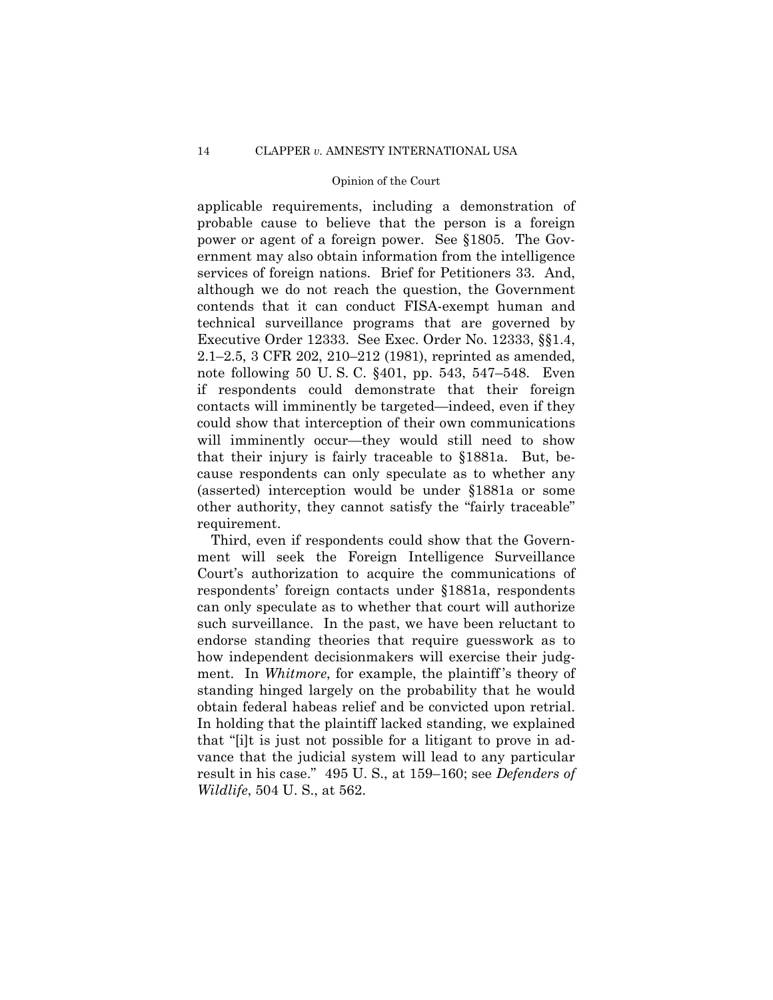applicable requirements, including a demonstration of probable cause to believe that the person is a foreign power or agent of a foreign power. See §1805. The Government may also obtain information from the intelligence services of foreign nations. Brief for Petitioners 33. And, although we do not reach the question, the Government contends that it can conduct FISA-exempt human and technical surveillance programs that are governed by Executive Order 12333. See Exec. Order No. 12333, §§1.4, 2.1–2.5, 3 CFR 202, 210–212 (1981), reprinted as amended, note following 50 U. S. C. §401, pp. 543, 547–548. Even if respondents could demonstrate that their foreign contacts will imminently be targeted—indeed, even if they could show that interception of their own communications will imminently occur—they would still need to show that their injury is fairly traceable to §1881a. But, because respondents can only speculate as to whether any (asserted) interception would be under §1881a or some other authority, they cannot satisfy the "fairly traceable" requirement.

Third, even if respondents could show that the Government will seek the Foreign Intelligence Surveillance Court's authorization to acquire the communications of respondents' foreign contacts under §1881a, respondents can only speculate as to whether that court will authorize such surveillance. In the past, we have been reluctant to endorse standing theories that require guesswork as to how independent decisionmakers will exercise their judgment. In *Whitmore*, for example, the plaintiff's theory of standing hinged largely on the probability that he would obtain federal habeas relief and be convicted upon retrial. In holding that the plaintiff lacked standing, we explained that "[i]t is just not possible for a litigant to prove in advance that the judicial system will lead to any particular result in his case." 495 U. S., at 159–160; see *Defenders of Wildlife*, 504 U. S., at 562.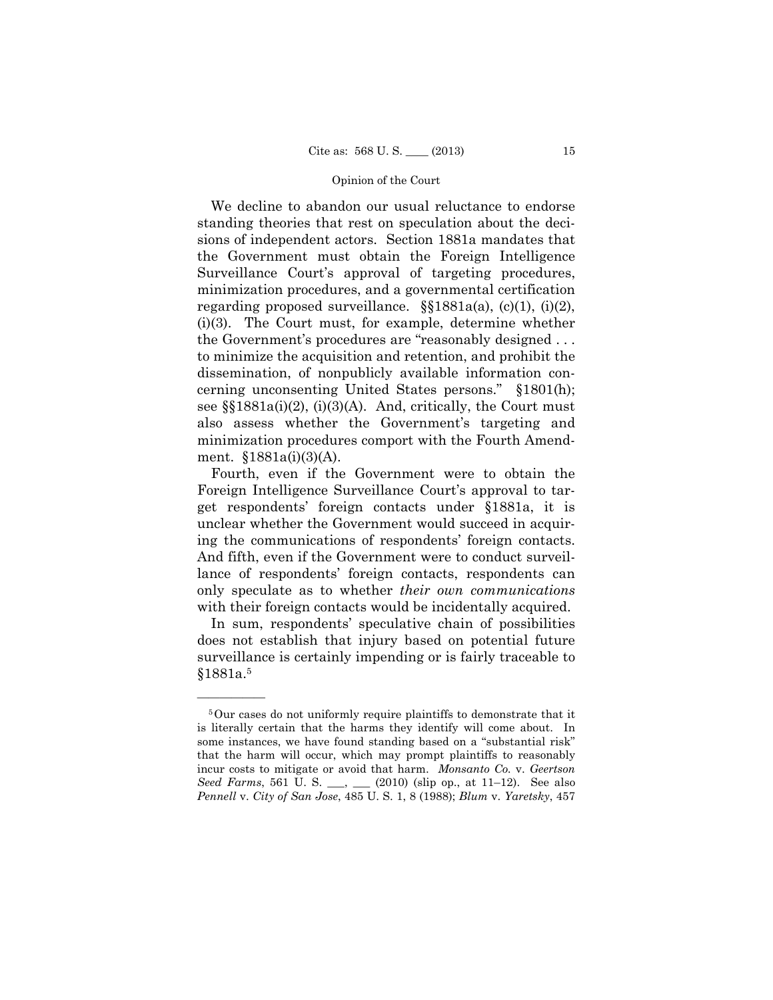the Government's procedures are "reasonably designed . . . We decline to abandon our usual reluctance to endorse standing theories that rest on speculation about the decisions of independent actors. Section 1881a mandates that the Government must obtain the Foreign Intelligence Surveillance Court's approval of targeting procedures, minimization procedures, and a governmental certification regarding proposed surveillance.  $\S$ [1881a(a), (c)(1), (i)(2), (i)(3). The Court must, for example, determine whether to minimize the acquisition and retention, and prohibit the dissemination, of nonpublicly available information concerning unconsenting United States persons." §1801(h); see  $\S$  $1881a(i)(2)$ ,  $(i)(3)(A)$ . And, critically, the Court must also assess whether the Government's targeting and minimization procedures comport with the Fourth Amendment. §1881a(i)(3)(A).

Fourth, even if the Government were to obtain the Foreign Intelligence Surveillance Court's approval to target respondents' foreign contacts under §1881a, it is unclear whether the Government would succeed in acquiring the communications of respondents' foreign contacts. And fifth, even if the Government were to conduct surveillance of respondents' foreign contacts, respondents can only speculate as to whether *their own communications*  with their foreign contacts would be incidentally acquired.

In sum, respondents' speculative chain of possibilities does not establish that injury based on potential future surveillance is certainly impending or is fairly traceable to §1881a.5

——————

<sup>5</sup>Our cases do not uniformly require plaintiffs to demonstrate that it is literally certain that the harms they identify will come about. In some instances, we have found standing based on a "substantial risk" that the harm will occur, which may prompt plaintiffs to reasonably incur costs to mitigate or avoid that harm. *Monsanto Co.* v. *Geertson Seed Farms*, 561 U. S. \_\_, \_\_ (2010) (slip op., at 11–12). See also *Pennell* v. *City of San Jose*, 485 U. S. 1, 8 (1988); *Blum* v. *Yaretsky*, 457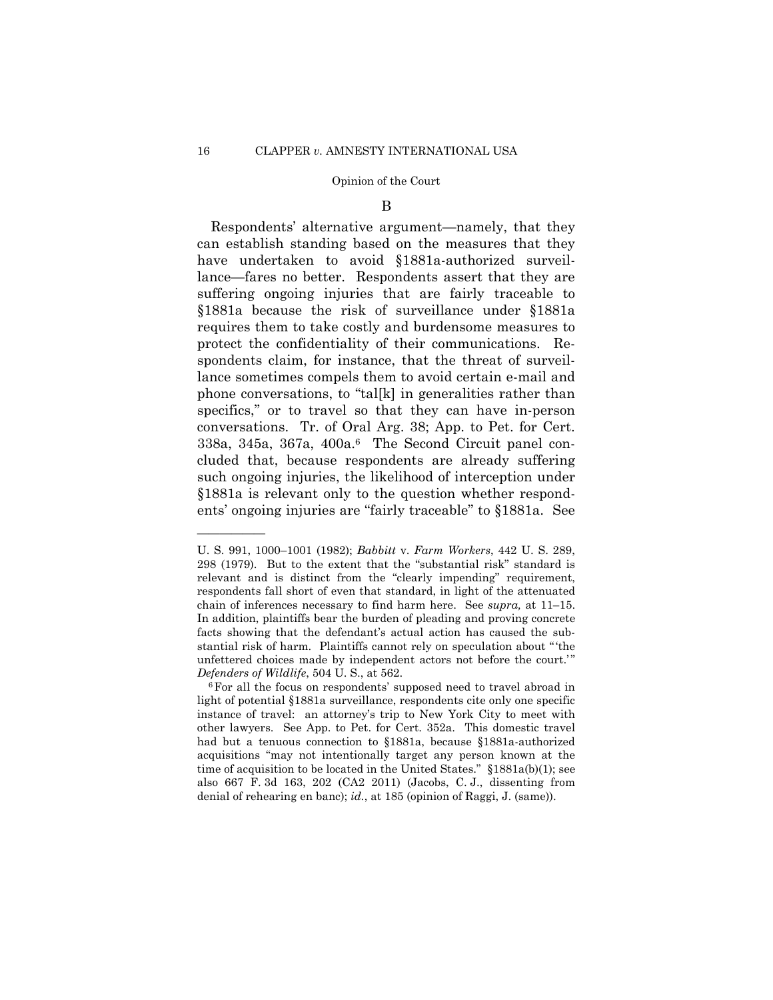#### B

Respondents' alternative argument—namely, that they can establish standing based on the measures that they have undertaken to avoid §1881a-authorized surveillance—fares no better. Respondents assert that they are suffering ongoing injuries that are fairly traceable to §1881a because the risk of surveillance under §1881a requires them to take costly and burdensome measures to protect the confidentiality of their communications. Respondents claim, for instance, that the threat of surveillance sometimes compels them to avoid certain e-mail and phone conversations, to "tal[k] in generalities rather than specifics," or to travel so that they can have in-person conversations. Tr. of Oral Arg. 38; App. to Pet. for Cert. 338a, 345a, 367a, 400a.6 The Second Circuit panel concluded that, because respondents are already suffering such ongoing injuries, the likelihood of interception under §1881a is relevant only to the question whether respondents' ongoing injuries are "fairly traceable" to §1881a. See

——————

U. S. 991, 1000–1001 (1982); *Babbitt* v. *Farm Workers*, 442 U. S. 289, 298 (1979). But to the extent that the "substantial risk" standard is relevant and is distinct from the "clearly impending" requirement, respondents fall short of even that standard, in light of the attenuated chain of inferences necessary to find harm here. See *supra,* at 11–15. In addition, plaintiffs bear the burden of pleading and proving concrete facts showing that the defendant's actual action has caused the substantial risk of harm. Plaintiffs cannot rely on speculation about " 'the unfettered choices made by independent actors not before the court.'" *Defenders of Wildlife*, 504 U. S., at 562.<br><sup>6</sup>For all the focus on respondents' supposed need to travel abroad in

 other lawyers. See App. to Pet. for Cert. 352a. This domestic travel light of potential §1881a surveillance, respondents cite only one specific instance of travel: an attorney's trip to New York City to meet with had but a tenuous connection to §1881a, because §1881a-authorized acquisitions "may not intentionally target any person known at the time of acquisition to be located in the United States." §1881a(b)(1); see also 667 F. 3d 163, 202 (CA2 2011) (Jacobs, C. J., dissenting from denial of rehearing en banc); *id.*, at 185 (opinion of Raggi, J. (same)).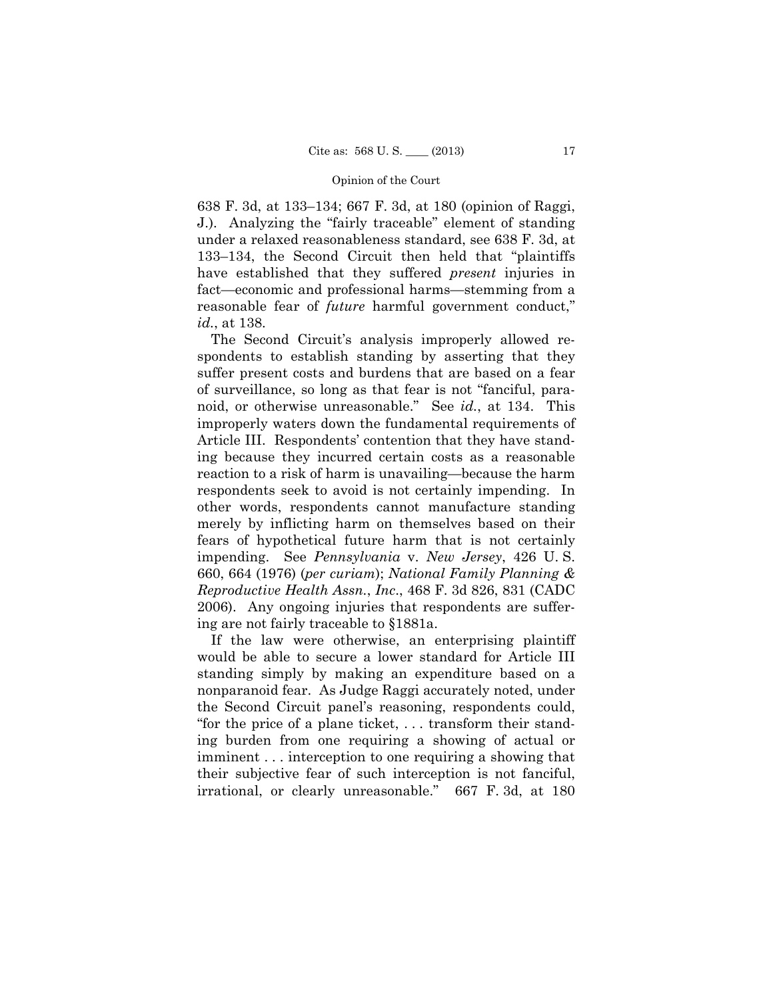638 F. 3d, at 133–134; 667 F. 3d, at 180 (opinion of Raggi, J.). Analyzing the "fairly traceable" element of standing under a relaxed reasonableness standard, see 638 F. 3d, at 133–134, the Second Circuit then held that "plaintiffs have established that they suffered *present* injuries in fact—economic and professional harms—stemming from a reasonable fear of *future* harmful government conduct," *id.*, at 138.

The Second Circuit's analysis improperly allowed respondents to establish standing by asserting that they suffer present costs and burdens that are based on a fear of surveillance, so long as that fear is not "fanciful, paranoid, or otherwise unreasonable." See *id.*, at 134. This improperly waters down the fundamental requirements of Article III. Respondents' contention that they have standing because they incurred certain costs as a reasonable reaction to a risk of harm is unavailing—because the harm respondents seek to avoid is not certainly impending. In other words, respondents cannot manufacture standing merely by inflicting harm on themselves based on their fears of hypothetical future harm that is not certainly impending. See *Pennsylvania* v. *New Jersey*, 426 U. S. 660, 664 (1976) (*per curiam*); *National Family Planning & Reproductive Health Assn.*, *Inc*., 468 F. 3d 826, 831 (CADC 2006). Any ongoing injuries that respondents are suffering are not fairly traceable to §1881a.

If the law were otherwise, an enterprising plaintiff would be able to secure a lower standard for Article III standing simply by making an expenditure based on a nonparanoid fear. As Judge Raggi accurately noted, under the Second Circuit panel's reasoning, respondents could, "for the price of a plane ticket, . . . transform their standing burden from one requiring a showing of actual or imminent . . . interception to one requiring a showing that their subjective fear of such interception is not fanciful, irrational, or clearly unreasonable." 667 F. 3d, at 180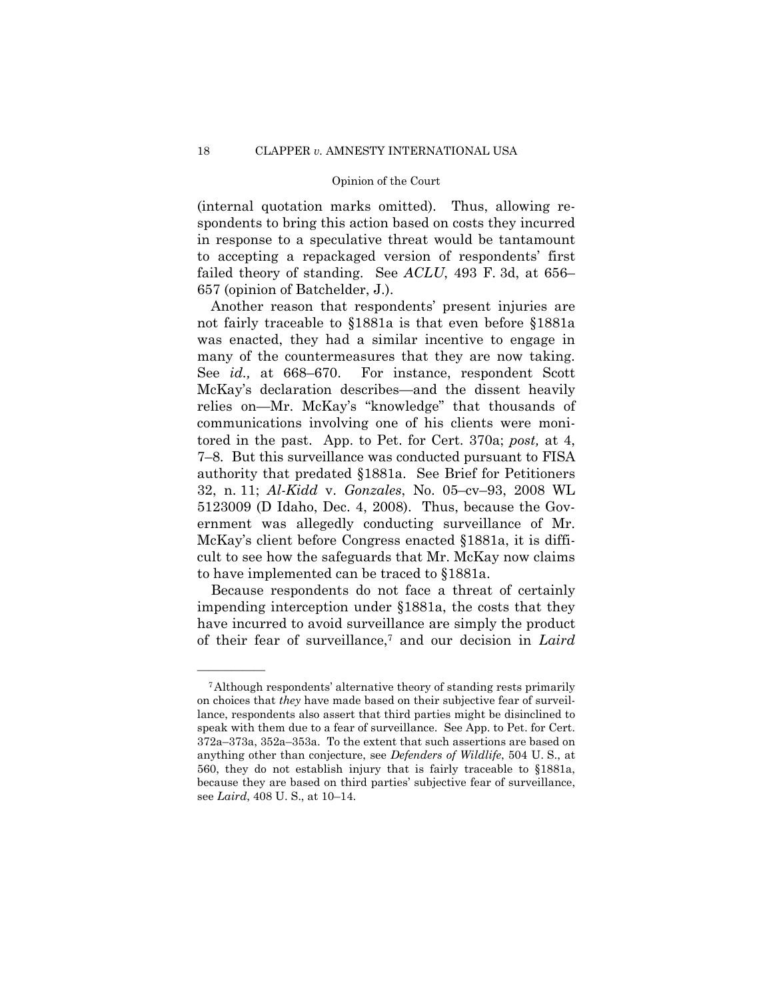(internal quotation marks omitted). Thus, allowing respondents to bring this action based on costs they incurred in response to a speculative threat would be tantamount to accepting a repackaged version of respondents' first failed theory of standing. See *ACLU*, 493 F. 3d, at 656– 657 (opinion of Batchelder, J.).

 authority that predated §1881a. See Brief for Petitioners Another reason that respondents' present injuries are not fairly traceable to §1881a is that even before §1881a was enacted, they had a similar incentive to engage in many of the countermeasures that they are now taking. See *id.,* at 668–670. For instance, respondent Scott McKay's declaration describes—and the dissent heavily relies on—Mr. McKay's "knowledge" that thousands of communications involving one of his clients were monitored in the past. App. to Pet. for Cert. 370a; *post,* at 4, 7–8. But this surveillance was conducted pursuant to FISA 32, n. 11; *Al-Kidd* v. *Gonzales*, No. 05–cv–93, 2008 WL 5123009 (D Idaho, Dec. 4, 2008). Thus, because the Government was allegedly conducting surveillance of Mr. McKay's client before Congress enacted §1881a, it is difficult to see how the safeguards that Mr. McKay now claims to have implemented can be traced to §1881a.

Because respondents do not face a threat of certainly impending interception under §1881a, the costs that they have incurred to avoid surveillance are simply the product of their fear of surveillance,7 and our decision in *Laird* 

——————

<sup>7</sup>Although respondents' alternative theory of standing rests primarily on choices that *they* have made based on their subjective fear of surveillance, respondents also assert that third parties might be disinclined to speak with them due to a fear of surveillance. See App. to Pet. for Cert. 372a–373a, 352a–353a. To the extent that such assertions are based on anything other than conjecture, see *Defenders of Wildlife*, 504 U. S., at 560, they do not establish injury that is fairly traceable to §1881a, because they are based on third parties' subjective fear of surveillance, see *Laird*, 408 U. S., at 10–14.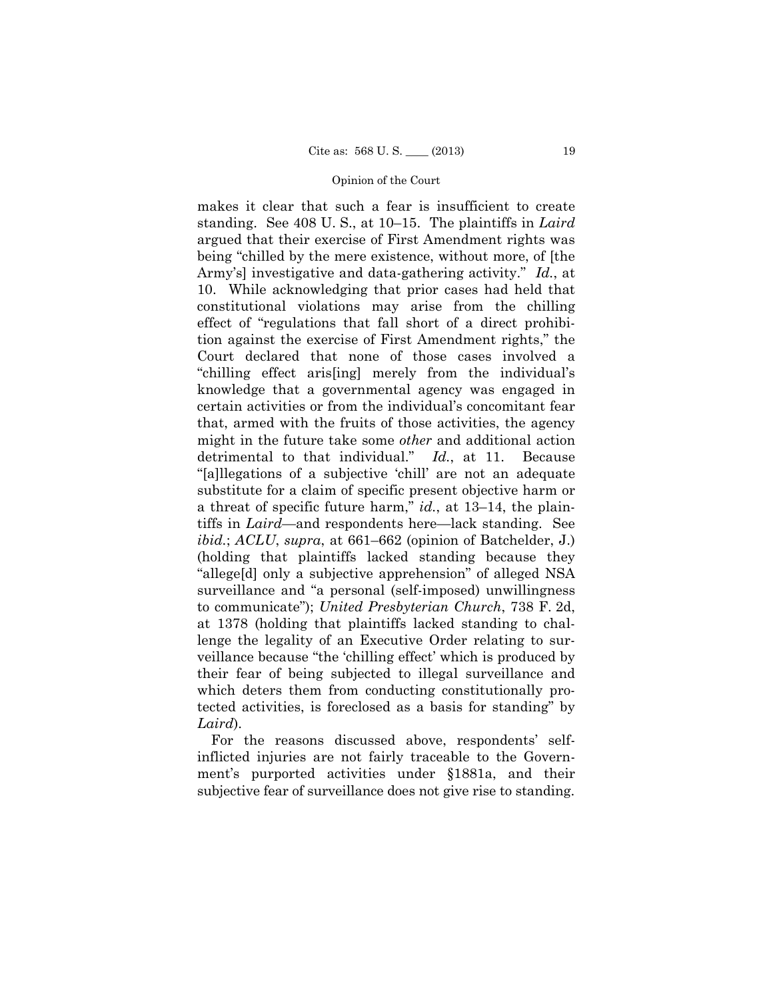makes it clear that such a fear is insufficient to create standing. See 408 U. S., at 10–15. The plaintiffs in *Laird*  argued that their exercise of First Amendment rights was being "chilled by the mere existence, without more, of [the Army's] investigative and data-gathering activity." *Id.*, at 10. While acknowledging that prior cases had held that constitutional violations may arise from the chilling effect of "regulations that fall short of a direct prohibition against the exercise of First Amendment rights," the Court declared that none of those cases involved a "chilling effect aris[ing] merely from the individual's knowledge that a governmental agency was engaged in certain activities or from the individual's concomitant fear that, armed with the fruits of those activities, the agency might in the future take some *other* and additional action detrimental to that individual." *Id.*, at 11. Because "[a]llegations of a subjective 'chill' are not an adequate substitute for a claim of specific present objective harm or a threat of specific future harm," *id.*, at 13–14, the plaintiffs in *Laird*—and respondents here—lack standing. See *ibid.*; *ACLU*, *supra*, at 661–662 (opinion of Batchelder, J.) (holding that plaintiffs lacked standing because they "allege[d] only a subjective apprehension" of alleged NSA surveillance and "a personal (self-imposed) unwillingness to communicate"); *United Presbyterian Church*, 738 F. 2d, at 1378 (holding that plaintiffs lacked standing to challenge the legality of an Executive Order relating to surveillance because "the 'chilling effect' which is produced by their fear of being subjected to illegal surveillance and which deters them from conducting constitutionally protected activities, is foreclosed as a basis for standing" by *Laird*).

For the reasons discussed above, respondents' selfinflicted injuries are not fairly traceable to the Government's purported activities under §1881a, and their subjective fear of surveillance does not give rise to standing.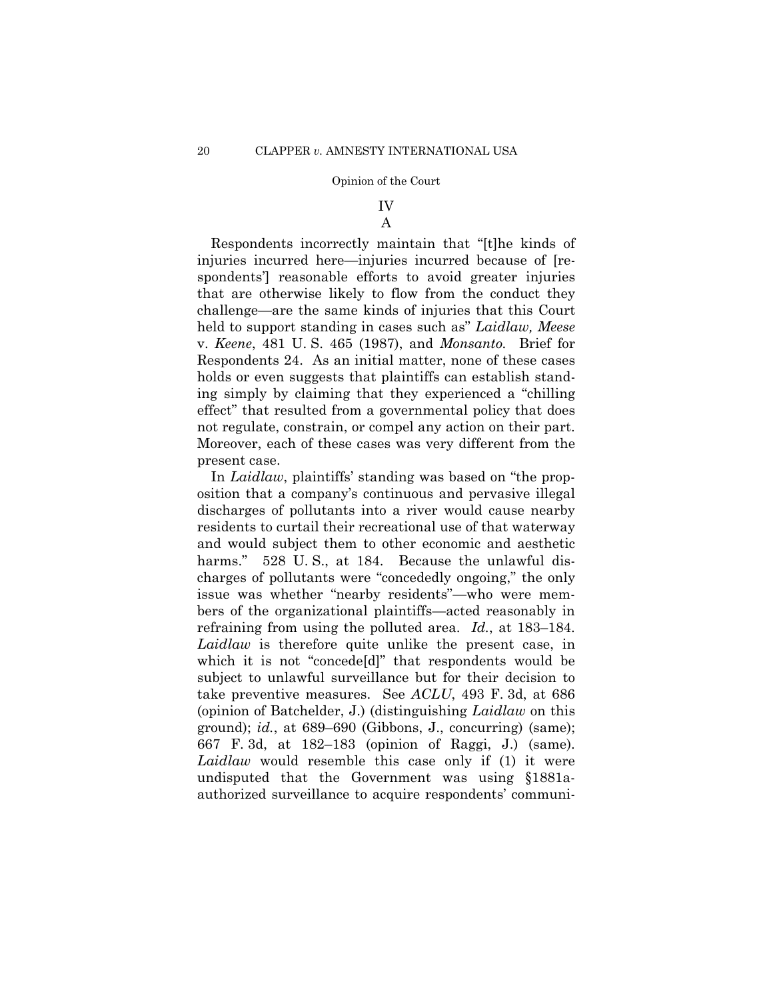# IV

## A

Respondents incorrectly maintain that "[t]he kinds of injuries incurred here—injuries incurred because of [respondents'] reasonable efforts to avoid greater injuries that are otherwise likely to flow from the conduct they challenge—are the same kinds of injuries that this Court held to support standing in cases such as" *Laidlaw, Meese*  v. *Keene*, 481 U. S. 465 (1987), and *Monsanto.* Brief for Respondents 24. As an initial matter, none of these cases holds or even suggests that plaintiffs can establish standing simply by claiming that they experienced a "chilling effect" that resulted from a governmental policy that does not regulate, constrain, or compel any action on their part. Moreover, each of these cases was very different from the present case.

 refraining from using the polluted area. *Id.*, at 183–184. 667 F. 3d, at 182–183 (opinion of Raggi, J.) (same). In *Laidlaw*, plaintiffs' standing was based on "the proposition that a company's continuous and pervasive illegal discharges of pollutants into a river would cause nearby residents to curtail their recreational use of that waterway and would subject them to other economic and aesthetic harms." 528 U.S., at 184. Because the unlawful discharges of pollutants were "concededly ongoing," the only issue was whether "nearby residents"—who were members of the organizational plaintiffs—acted reasonably in *Laidlaw* is therefore quite unlike the present case, in which it is not "concede[d]" that respondents would be subject to unlawful surveillance but for their decision to take preventive measures. See *ACLU*, 493 F. 3d, at 686 (opinion of Batchelder, J.) (distinguishing *Laidlaw* on this ground); *id.*, at 689–690 (Gibbons, J., concurring) (same); *Laidlaw* would resemble this case only if (1) it were undisputed that the Government was using §1881aauthorized surveillance to acquire respondents' communi-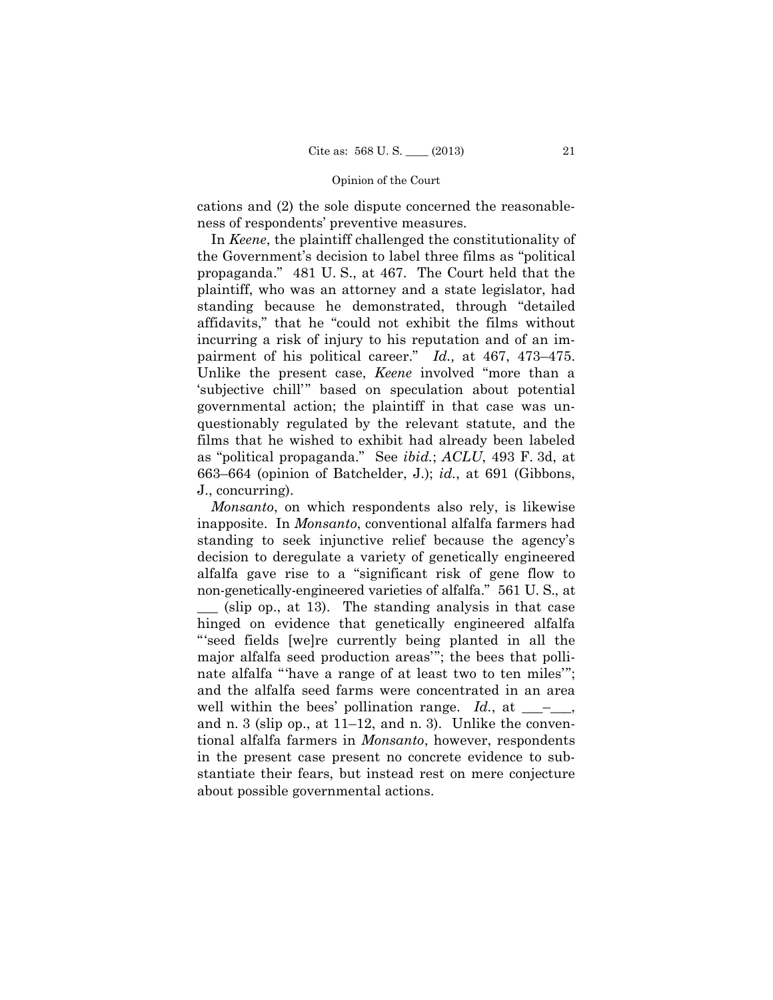cations and (2) the sole dispute concerned the reasonableness of respondents' preventive measures.

In *Keene*, the plaintiff challenged the constitutionality of the Government's decision to label three films as "political propaganda." 481 U. S., at 467. The Court held that the plaintiff, who was an attorney and a state legislator, had standing because he demonstrated, through "detailed affidavits," that he "could not exhibit the films without incurring a risk of injury to his reputation and of an impairment of his political career." *Id.,* at 467, 473–475. Unlike the present case, *Keene* involved "more than a 'subjective chill'" based on speculation about potential governmental action; the plaintiff in that case was unquestionably regulated by the relevant statute, and the films that he wished to exhibit had already been labeled as "political propaganda." See *ibid.*; *ACLU*, 493 F. 3d, at 663–664 (opinion of Batchelder, J.); *id.*, at 691 (Gibbons, J., concurring).

*Monsanto*, on which respondents also rely, is likewise inapposite. In *Monsanto*, conventional alfalfa farmers had standing to seek injunctive relief because the agency's decision to deregulate a variety of genetically engineered alfalfa gave rise to a "significant risk of gene flow to non-genetically-engineered varieties of alfalfa." 561 U. S., at \_\_\_ (slip op., at 13). The standing analysis in that case hinged on evidence that genetically engineered alfalfa "'seed fields [we]re currently being planted in all the major alfalfa seed production areas'"; the bees that pollinate alfalfa "'have a range of at least two to ten miles'"; and the alfalfa seed farms were concentrated in an area well within the bees' pollination range.  $Id$ , at  $\_\_\_\_\_\_$ and n. 3 (slip op., at 11–12, and n. 3). Unlike the conventional alfalfa farmers in *Monsanto*, however, respondents in the present case present no concrete evidence to substantiate their fears, but instead rest on mere conjecture about possible governmental actions.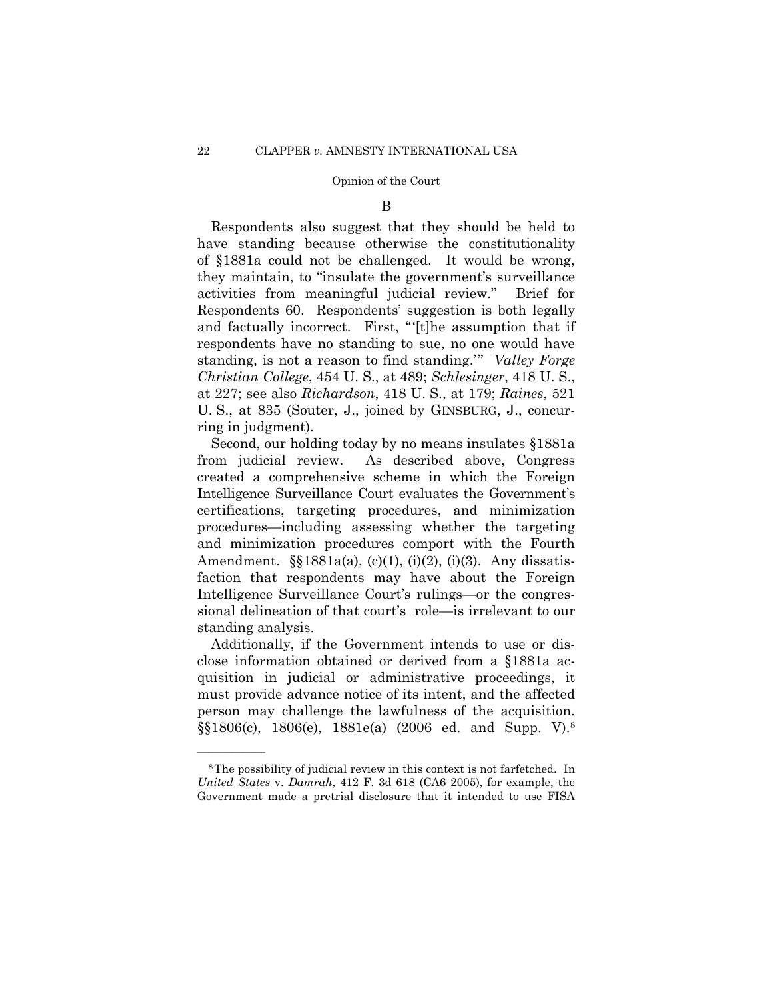#### B

Respondents also suggest that they should be held to have standing because otherwise the constitutionality of §1881a could not be challenged. It would be wrong, they maintain, to "insulate the government's surveillance activities from meaningful judicial review." Brief for Respondents 60. Respondents' suggestion is both legally and factually incorrect. First, "'[t]he assumption that if respondents have no standing to sue, no one would have standing, is not a reason to find standing.'" *Valley Forge Christian College*, 454 U. S., at 489; *Schlesinger*, 418 U. S., at 227; see also *Richardson*, 418 U. S., at 179; *Raines*, 521 U. S., at 835 (Souter, J., joined by GINSBURG, J., concurring in judgment).

Second, our holding today by no means insulates §1881a from judicial review. As described above, Congress created a comprehensive scheme in which the Foreign Intelligence Surveillance Court evaluates the Government's certifications, targeting procedures, and minimization procedures—including assessing whether the targeting and minimization procedures comport with the Fourth Amendment.  $\S$ [1881a(a), (c)(1), (i)(2), (i)(3). Any dissatisfaction that respondents may have about the Foreign Intelligence Surveillance Court's rulings—or the congressional delineation of that court's role—is irrelevant to our standing analysis.

 $\S$ \$1806(c), 1806(e), 1881e(a) (2006 ed. and Supp. V).<sup>8</sup> Additionally, if the Government intends to use or disclose information obtained or derived from a §1881a acquisition in judicial or administrative proceedings, it must provide advance notice of its intent, and the affected person may challenge the lawfulness of the acquisition.

——————

<sup>8</sup>The possibility of judicial review in this context is not farfetched. In *United States* v. *Damrah*, 412 F. 3d 618 (CA6 2005), for example, the Government made a pretrial disclosure that it intended to use FISA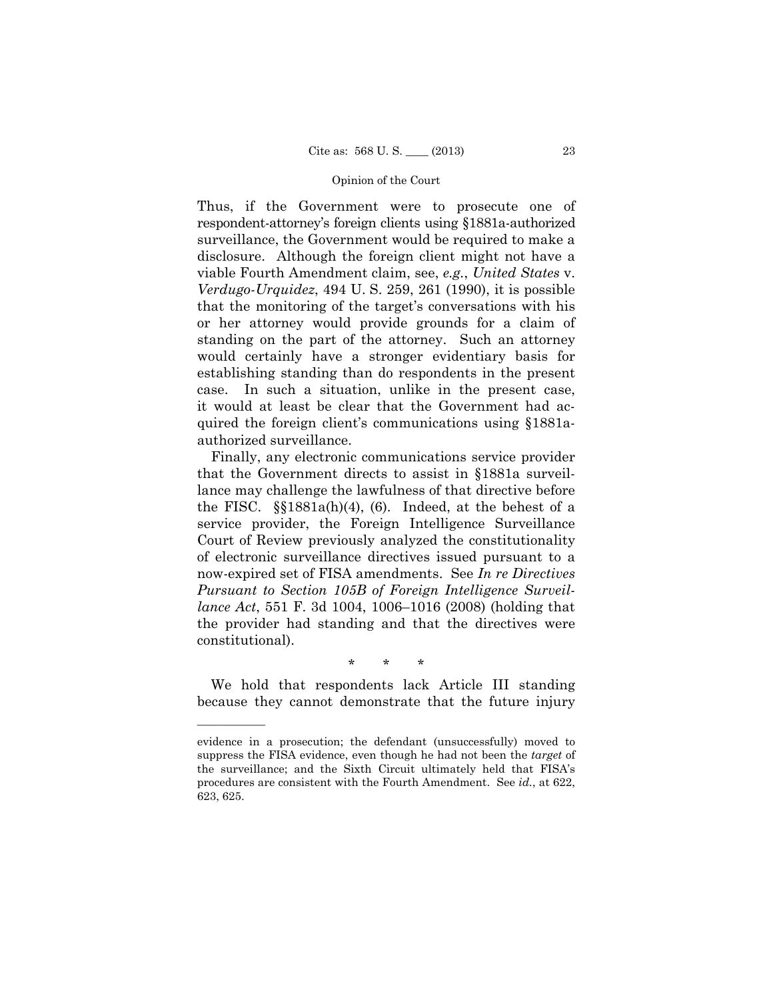Thus, if the Government were to prosecute one of respondent-attorney's foreign clients using §1881a-authorized surveillance, the Government would be required to make a disclosure. Although the foreign client might not have a viable Fourth Amendment claim, see, *e.g.*, *United States* v. *Verdugo-Urquidez*, 494 U. S. 259, 261 (1990), it is possible that the monitoring of the target's conversations with his or her attorney would provide grounds for a claim of standing on the part of the attorney. Such an attorney would certainly have a stronger evidentiary basis for establishing standing than do respondents in the present case. In such a situation, unlike in the present case, it would at least be clear that the Government had acquired the foreign client's communications using §1881aauthorized surveillance.

Finally, any electronic communications service provider that the Government directs to assist in §1881a surveillance may challenge the lawfulness of that directive before the FISC. §§1881a(h)(4), (6). Indeed, at the behest of a service provider, the Foreign Intelligence Surveillance Court of Review previously analyzed the constitutionality of electronic surveillance directives issued pursuant to a now-expired set of FISA amendments. See *In re Directives Pursuant to Section 105B of Foreign Intelligence Surveillance Act*, 551 F. 3d 1004, 1006–1016 (2008) (holding that the provider had standing and that the directives were constitutional).

\* \* \*

We hold that respondents lack Article III standing because they cannot demonstrate that the future injury

——————

evidence in a prosecution; the defendant (unsuccessfully) moved to suppress the FISA evidence, even though he had not been the *target* of the surveillance; and the Sixth Circuit ultimately held that FISA's procedures are consistent with the Fourth Amendment. See *id.*, at 622, 623, 625.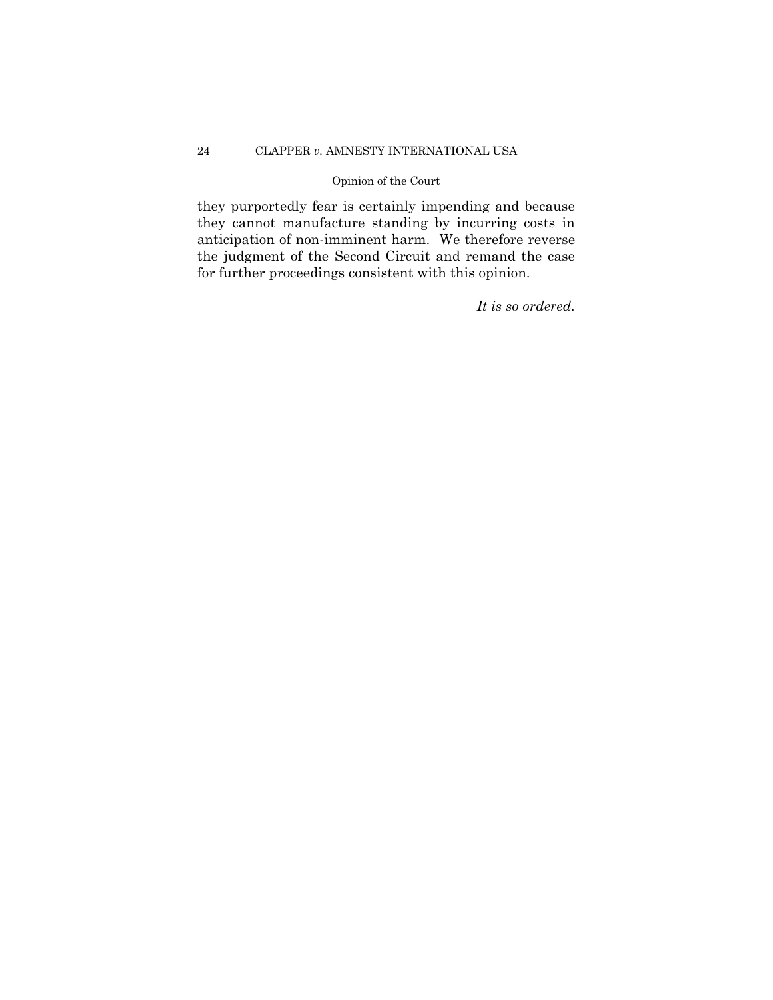## 24 CLAPPER *v.* AMNESTY INTERNATIONAL USA

## Opinion of the Court

they purportedly fear is certainly impending and because they cannot manufacture standing by incurring costs in anticipation of non-imminent harm. We therefore reverse the judgment of the Second Circuit and remand the case for further proceedings consistent with this opinion.

*It is so ordered.*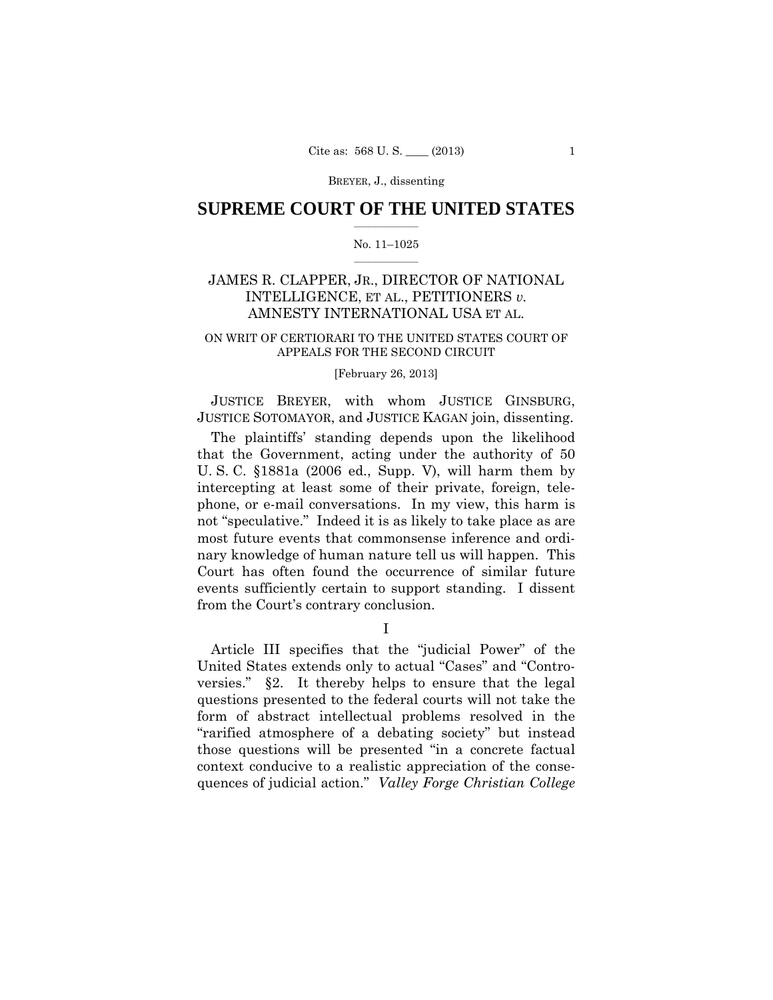## $\frac{1}{2}$  ,  $\frac{1}{2}$  ,  $\frac{1}{2}$  ,  $\frac{1}{2}$  ,  $\frac{1}{2}$  ,  $\frac{1}{2}$  ,  $\frac{1}{2}$ **SUPREME COURT OF THE UNITED STATES**

#### $\frac{1}{2}$  ,  $\frac{1}{2}$  ,  $\frac{1}{2}$  ,  $\frac{1}{2}$  ,  $\frac{1}{2}$  ,  $\frac{1}{2}$ No. 11–1025

# JAMES R. CLAPPER, JR., DIRECTOR OF NATIONAL INTELLIGENCE, ET AL., PETITIONERS *v.* AMNESTY INTERNATIONAL USA ET AL.

## ON WRIT OF CERTIORARI TO THE UNITED STATES COURT OF APPEALS FOR THE SECOND CIRCUIT

### [February 26, 2013]

 JUSTICE BREYER, with whom JUSTICE GINSBURG, JUSTICE SOTOMAYOR, and JUSTICE KAGAN join, dissenting.

The plaintiffs' standing depends upon the likelihood that the Government, acting under the authority of 50 U. S. C. §1881a (2006 ed., Supp. V), will harm them by intercepting at least some of their private, foreign, telephone, or e-mail conversations. In my view, this harm is not "speculative." Indeed it is as likely to take place as are most future events that commonsense inference and ordinary knowledge of human nature tell us will happen. This Court has often found the occurrence of similar future events sufficiently certain to support standing. I dissent from the Court's contrary conclusion.

I

Article III specifies that the "judicial Power" of the United States extends only to actual "Cases" and "Controversies." §2. It thereby helps to ensure that the legal questions presented to the federal courts will not take the form of abstract intellectual problems resolved in the "rarified atmosphere of a debating society" but instead those questions will be presented "in a concrete factual context conducive to a realistic appreciation of the consequences of judicial action." *Valley Forge Christian College*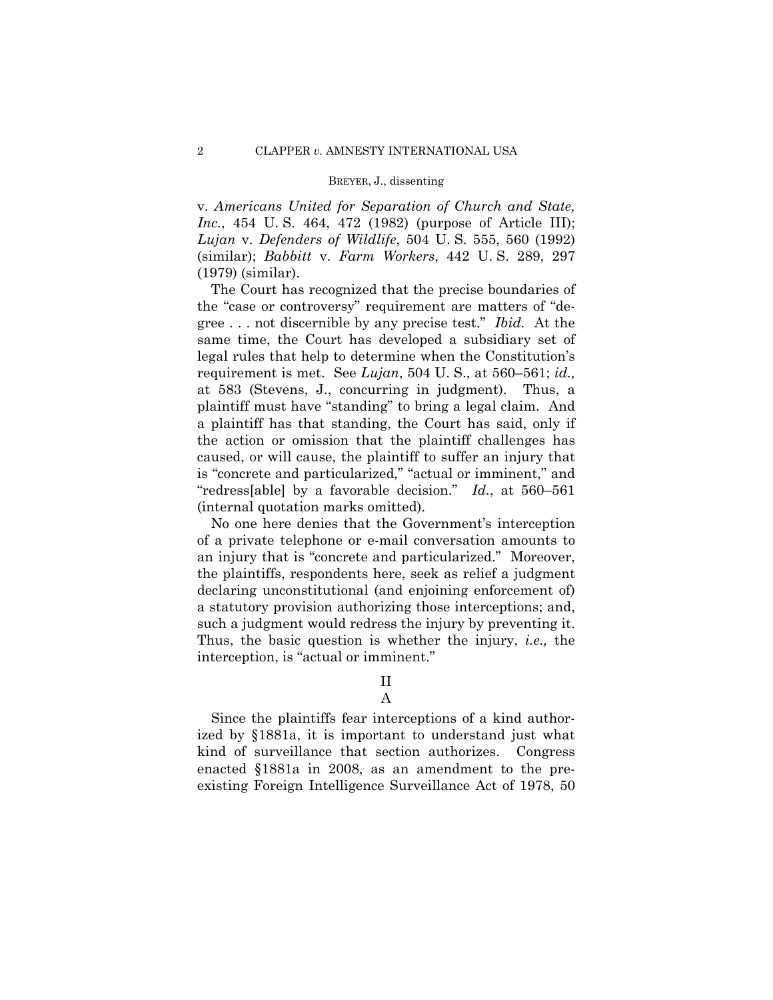v. *Americans United for Separation of Church and State, Inc.*, 454 U. S. 464, 472 (1982) (purpose of Article III); *Lujan* v. *Defenders of Wildlife*, 504 U. S. 555, 560 (1992) (similar); *Babbitt* v. *Farm Workers*, 442 U. S. 289, 297 (1979) (similar).

The Court has recognized that the precise boundaries of the "case or controversy" requirement are matters of "degree . . . not discernible by any precise test." *Ibid.* At the same time, the Court has developed a subsidiary set of legal rules that help to determine when the Constitution's requirement is met. See *Lujan*, 504 U. S., at 560–561; *id.,*  at 583 (Stevens, J., concurring in judgment). Thus, a plaintiff must have "standing" to bring a legal claim. And a plaintiff has that standing, the Court has said, only if the action or omission that the plaintiff challenges has caused, or will cause, the plaintiff to suffer an injury that is "concrete and particularized," "actual or imminent," and "redress[able] by a favorable decision." *Id.*, at 560–561 (internal quotation marks omitted).

No one here denies that the Government's interception of a private telephone or e-mail conversation amounts to an injury that is "concrete and particularized." Moreover, the plaintiffs, respondents here, seek as relief a judgment declaring unconstitutional (and enjoining enforcement of) a statutory provision authorizing those interceptions; and, such a judgment would redress the injury by preventing it. Thus, the basic question is whether the injury, *i.e.,* the interception, is "actual or imminent."

II

## A

Since the plaintiffs fear interceptions of a kind authorized by §1881a, it is important to understand just what kind of surveillance that section authorizes. Congress enacted §1881a in 2008, as an amendment to the preexisting Foreign Intelligence Surveillance Act of 1978, 50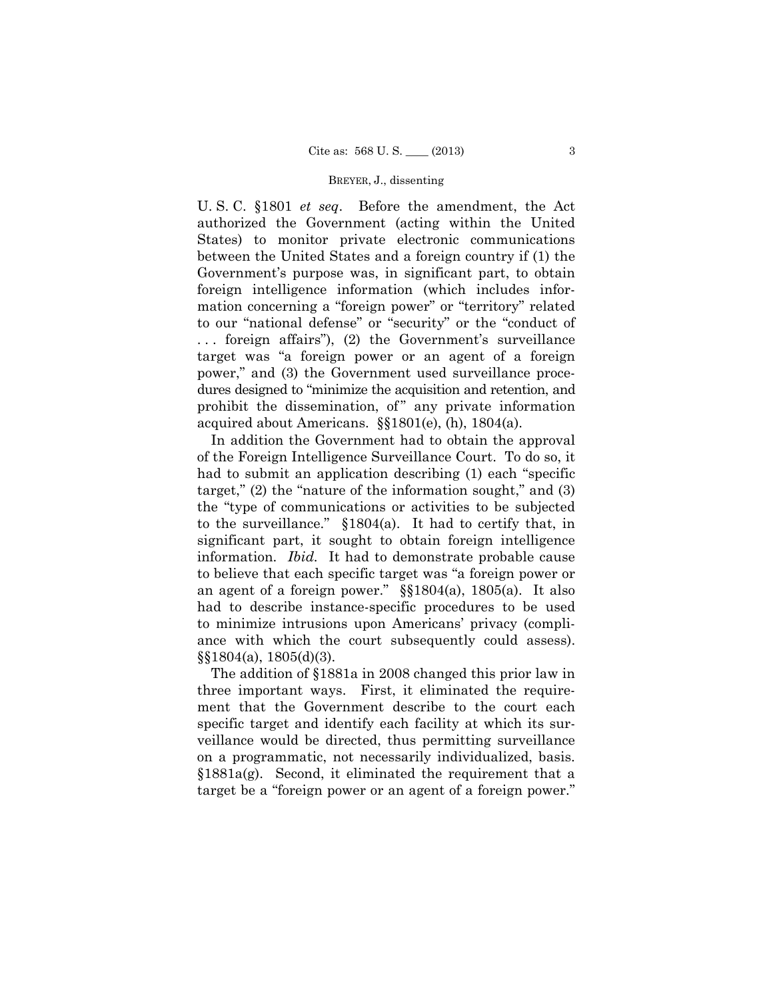U. S. C. §1801 *et seq*. Before the amendment, the Act authorized the Government (acting within the United States) to monitor private electronic communications between the United States and a foreign country if (1) the Government's purpose was, in significant part, to obtain foreign intelligence information (which includes information concerning a "foreign power" or "territory" related to our "national defense" or "security" or the "conduct of . . . foreign affairs"), (2) the Government's surveillance target was "a foreign power or an agent of a foreign power," and (3) the Government used surveillance procedures designed to "minimize the acquisition and retention, and prohibit the dissemination, of" any private information acquired about Americans. §§1801(e), (h), 1804(a).

 information. *Ibid.* It had to demonstrate probable cause an agent of a foreign power."  $\S$  $1804(a)$ ,  $1805(a)$ . It also In addition the Government had to obtain the approval of the Foreign Intelligence Surveillance Court. To do so, it had to submit an application describing (1) each "specific target," (2) the "nature of the information sought," and (3) the "type of communications or activities to be subjected to the surveillance." §1804(a). It had to certify that, in significant part, it sought to obtain foreign intelligence to believe that each specific target was "a foreign power or had to describe instance-specific procedures to be used to minimize intrusions upon Americans' privacy (compliance with which the court subsequently could assess). §§1804(a), 1805(d)(3).

 on a programmatic, not necessarily individualized, basis. The addition of §1881a in 2008 changed this prior law in three important ways. First, it eliminated the requirement that the Government describe to the court each specific target and identify each facility at which its surveillance would be directed, thus permitting surveillance §1881a(g). Second, it eliminated the requirement that a target be a "foreign power or an agent of a foreign power."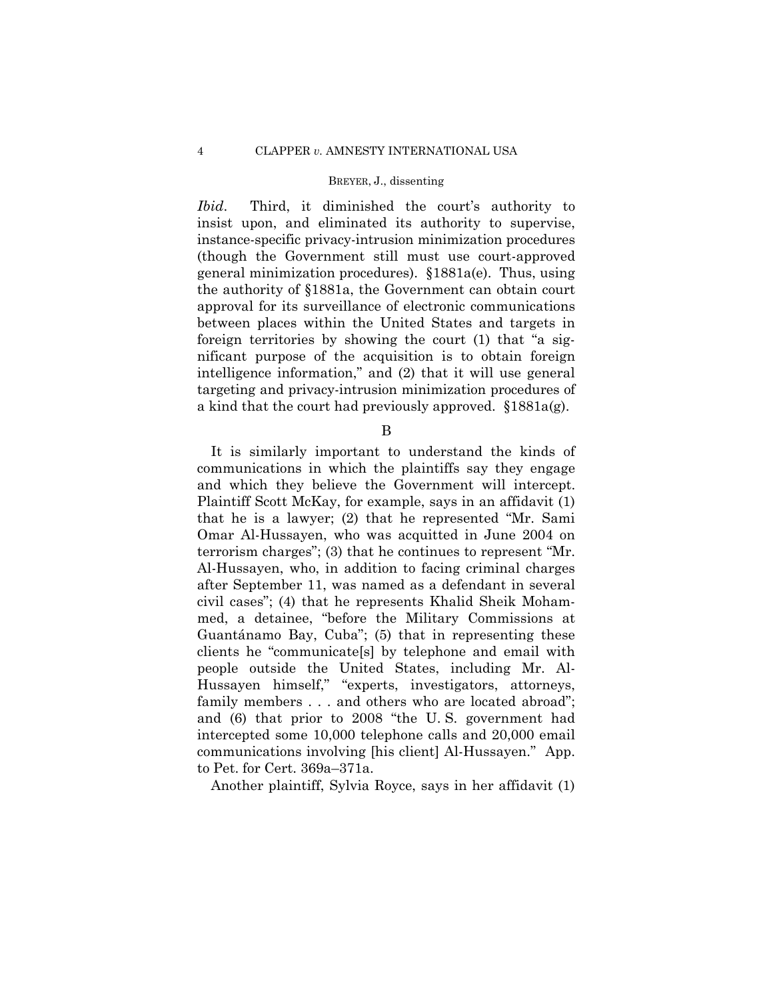*Ibid.*  instance-specific privacy-intrusion minimization procedures *Ibid*. Third, it diminished the court's authority to insist upon, and eliminated its authority to supervise, (though the Government still must use court-approved general minimization procedures). §1881a(e). Thus, using the authority of §1881a, the Government can obtain court approval for its surveillance of electronic communications between places within the United States and targets in foreign territories by showing the court (1) that "a significant purpose of the acquisition is to obtain foreign intelligence information," and (2) that it will use general targeting and privacy-intrusion minimization procedures of a kind that the court had previously approved. §1881a(g).

B

It is similarly important to understand the kinds of communications in which the plaintiffs say they engage and which they believe the Government will intercept. Plaintiff Scott McKay, for example, says in an affidavit (1) that he is a lawyer; (2) that he represented "Mr. Sami Omar Al-Hussayen, who was acquitted in June 2004 on terrorism charges"; (3) that he continues to represent "Mr. Al-Hussayen, who, in addition to facing criminal charges after September 11, was named as a defendant in several civil cases"; (4) that he represents Khalid Sheik Mohammed, a detainee, "before the Military Commissions at Guantánamo Bay, Cuba"; (5) that in representing these clients he "communicate[s] by telephone and email with people outside the United States, including Mr. Al-Hussayen himself," "experts, investigators, attorneys, family members . . . and others who are located abroad"; and (6) that prior to 2008 "the U. S. government had intercepted some 10,000 telephone calls and 20,000 email communications involving [his client] Al-Hussayen." App. to Pet. for Cert. 369a–371a.

Another plaintiff, Sylvia Royce, says in her affidavit (1)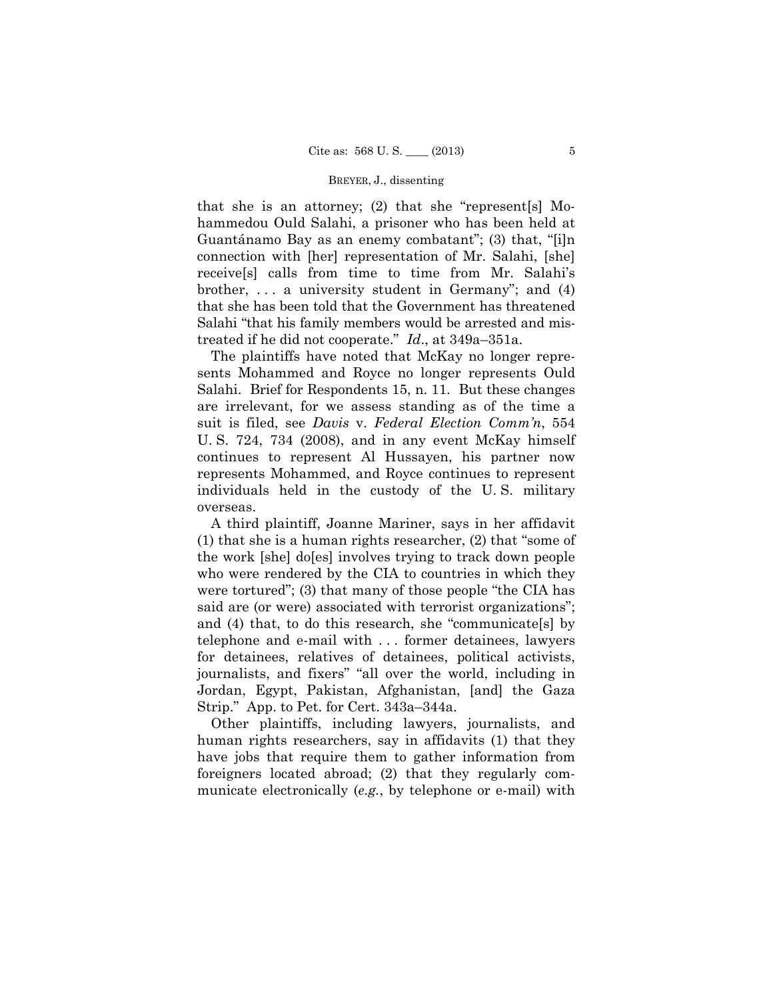that she is an attorney; (2) that she "represent[s] Mohammedou Ould Salahi, a prisoner who has been held at Guantánamo Bay as an enemy combatant"; (3) that, "[i]n connection with [her] representation of Mr. Salahi, [she] receive[s] calls from time to time from Mr. Salahi's brother,  $\dots$  a university student in Germany"; and (4) that she has been told that the Government has threatened Salahi "that his family members would be arrested and mistreated if he did not cooperate." *Id*., at 349a–351a.

The plaintiffs have noted that McKay no longer represents Mohammed and Royce no longer represents Ould Salahi. Brief for Respondents 15, n. 11. But these changes are irrelevant, for we assess standing as of the time a suit is filed, see *Davis* v. *Federal Election Comm'n*, 554 U. S. 724, 734 (2008), and in any event McKay himself continues to represent Al Hussayen, his partner now represents Mohammed, and Royce continues to represent individuals held in the custody of the U. S. military overseas.

A third plaintiff, Joanne Mariner, says in her affidavit (1) that she is a human rights researcher, (2) that "some of the work [she] do[es] involves trying to track down people who were rendered by the CIA to countries in which they were tortured"; (3) that many of those people "the CIA has said are (or were) associated with terrorist organizations"; and (4) that, to do this research, she "communicate[s] by telephone and e-mail with . . . former detainees, lawyers for detainees, relatives of detainees, political activists, journalists, and fixers" "all over the world, including in Jordan, Egypt, Pakistan, Afghanistan, [and] the Gaza Strip." App. to Pet. for Cert. 343a–344a.

Other plaintiffs, including lawyers, journalists, and human rights researchers, say in affidavits (1) that they have jobs that require them to gather information from foreigners located abroad; (2) that they regularly communicate electronically (*e.g.*, by telephone or e-mail) with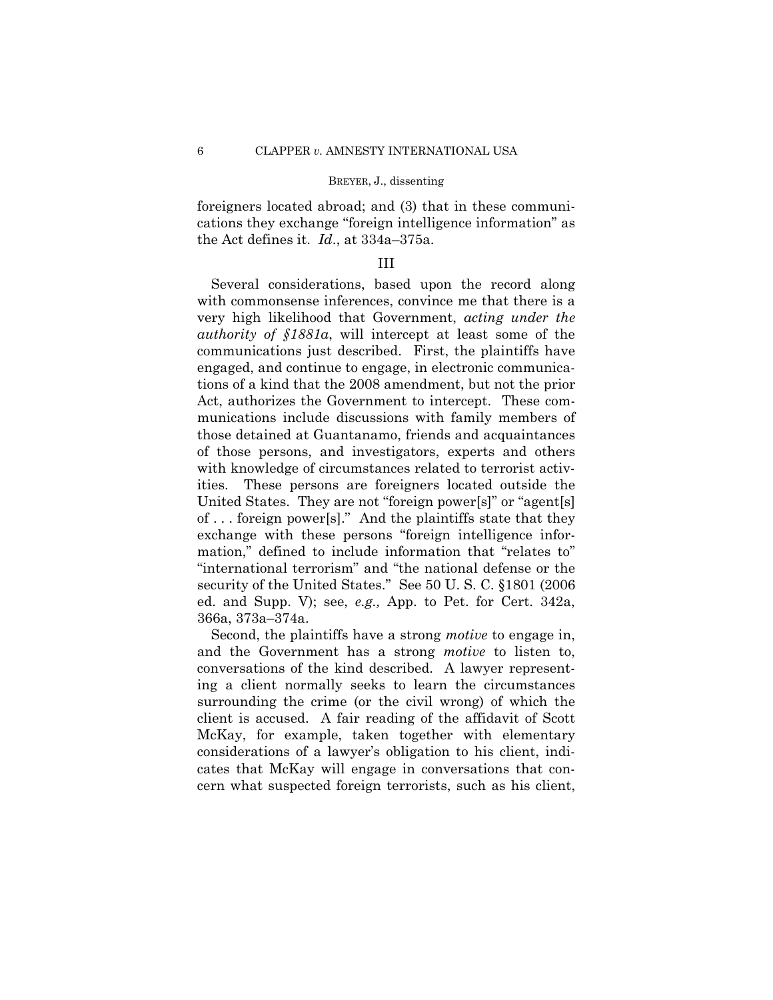foreigners located abroad; and (3) that in these communications they exchange "foreign intelligence information" as the Act defines it. *Id*., at 334a–375a.

## III

Several considerations, based upon the record along with commonsense inferences, convince me that there is a very high likelihood that Government, *acting under the authority of §1881a*, will intercept at least some of the communications just described. First, the plaintiffs have engaged, and continue to engage, in electronic communications of a kind that the 2008 amendment, but not the prior Act, authorizes the Government to intercept. These communications include discussions with family members of those detained at Guantanamo, friends and acquaintances of those persons, and investigators, experts and others with knowledge of circumstances related to terrorist activities. These persons are foreigners located outside the United States. They are not "foreign power[s]" or "agent[s] of . . . foreign power[s]." And the plaintiffs state that they exchange with these persons "foreign intelligence information," defined to include information that "relates to" "international terrorism" and "the national defense or the security of the United States." See 50 U. S. C. §1801 (2006 ed. and Supp. V); see, *e.g.,* App. to Pet. for Cert. 342a, 366a, 373a–374a.

Second, the plaintiffs have a strong *motive* to engage in, and the Government has a strong *motive* to listen to, conversations of the kind described. A lawyer representing a client normally seeks to learn the circumstances surrounding the crime (or the civil wrong) of which the client is accused. A fair reading of the affidavit of Scott McKay, for example, taken together with elementary considerations of a lawyer's obligation to his client, indicates that McKay will engage in conversations that concern what suspected foreign terrorists, such as his client,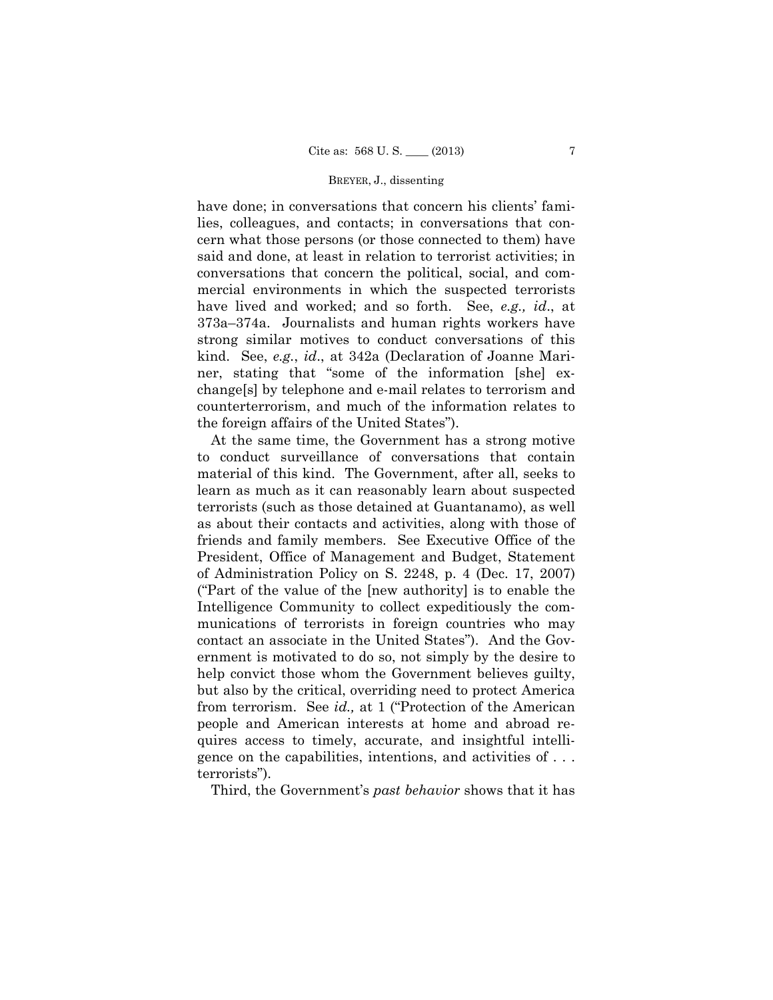have done; in conversations that concern his clients' families, colleagues, and contacts; in conversations that concern what those persons (or those connected to them) have said and done, at least in relation to terrorist activities; in conversations that concern the political, social, and commercial environments in which the suspected terrorists have lived and worked; and so forth. See, *e.g., id*., at 373a–374a. Journalists and human rights workers have strong similar motives to conduct conversations of this kind. See, *e.g.*, *id*., at 342a (Declaration of Joanne Mariner, stating that "some of the information [she] exchange[s] by telephone and e-mail relates to terrorism and counterterrorism, and much of the information relates to the foreign affairs of the United States").

At the same time, the Government has a strong motive to conduct surveillance of conversations that contain material of this kind. The Government, after all, seeks to learn as much as it can reasonably learn about suspected terrorists (such as those detained at Guantanamo), as well as about their contacts and activities, along with those of friends and family members. See Executive Office of the President, Office of Management and Budget, Statement of Administration Policy on S. 2248, p. 4 (Dec. 17, 2007) ("Part of the value of the [new authority] is to enable the Intelligence Community to collect expeditiously the communications of terrorists in foreign countries who may contact an associate in the United States"). And the Government is motivated to do so, not simply by the desire to help convict those whom the Government believes guilty, but also by the critical, overriding need to protect America from terrorism. See *id.,* at 1 ("Protection of the American people and American interests at home and abroad requires access to timely, accurate, and insightful intelligence on the capabilities, intentions, and activities of . . . terrorists").

Third, the Government's *past behavior* shows that it has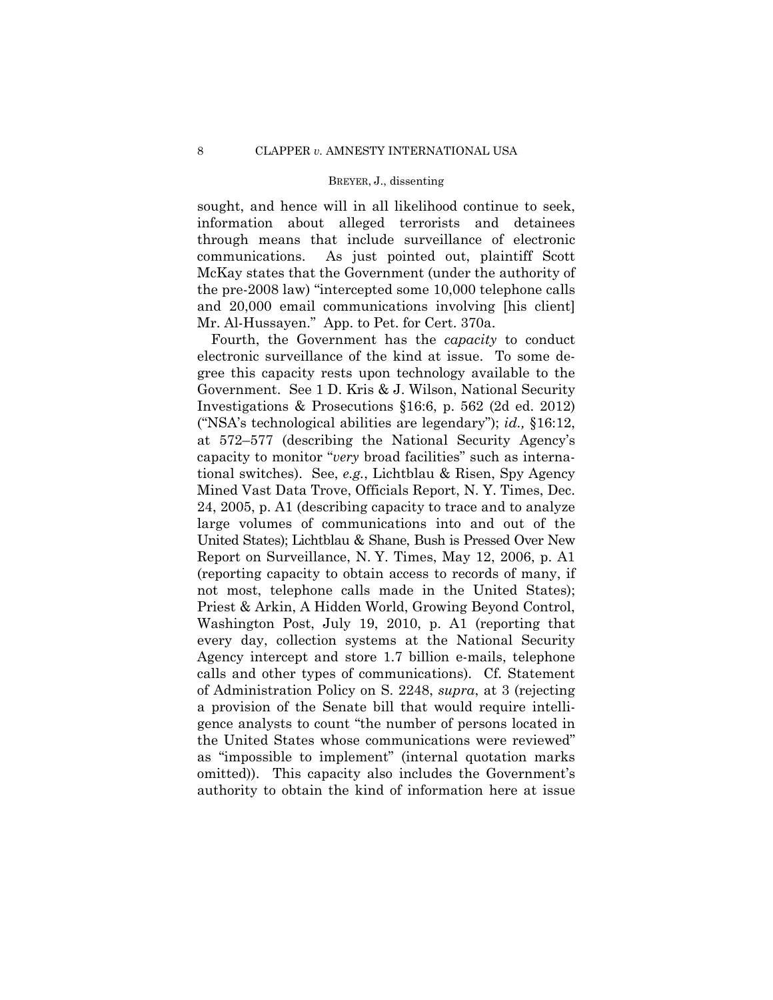sought, and hence will in all likelihood continue to seek, information about alleged terrorists and detainees through means that include surveillance of electronic communications. As just pointed out, plaintiff Scott McKay states that the Government (under the authority of the pre-2008 law) "intercepted some 10,000 telephone calls and 20,000 email communications involving [his client] Mr. Al-Hussayen." App. to Pet. for Cert. 370a.

Fourth, the Government has the *capacity* to conduct electronic surveillance of the kind at issue. To some degree this capacity rests upon technology available to the Government. See 1 D. Kris & J. Wilson, National Security Investigations & Prosecutions §16:6, p. 562 (2d ed. 2012) ("NSA's technological abilities are legendary"); *id.,* §16:12, at 572–577 (describing the National Security Agency's capacity to monitor "*very* broad facilities" such as international switches). See, *e.g.*, Lichtblau & Risen, Spy Agency Mined Vast Data Trove, Officials Report, N. Y. Times, Dec. 24, 2005, p. A1 (describing capacity to trace and to analyze large volumes of communications into and out of the United States); Lichtblau & Shane, Bush is Pressed Over New Report on Surveillance, N. Y. Times, May 12, 2006, p. A1 (reporting capacity to obtain access to records of many, if not most, telephone calls made in the United States); Priest & Arkin, A Hidden World, Growing Beyond Control, Washington Post, July 19, 2010, p. A1 (reporting that every day, collection systems at the National Security Agency intercept and store 1.7 billion e-mails, telephone calls and other types of communications). Cf. Statement of Administration Policy on S. 2248, *supra*, at 3 (rejecting a provision of the Senate bill that would require intelligence analysts to count "the number of persons located in the United States whose communications were reviewed" as "impossible to implement" (internal quotation marks omitted)). This capacity also includes the Government's authority to obtain the kind of information here at issue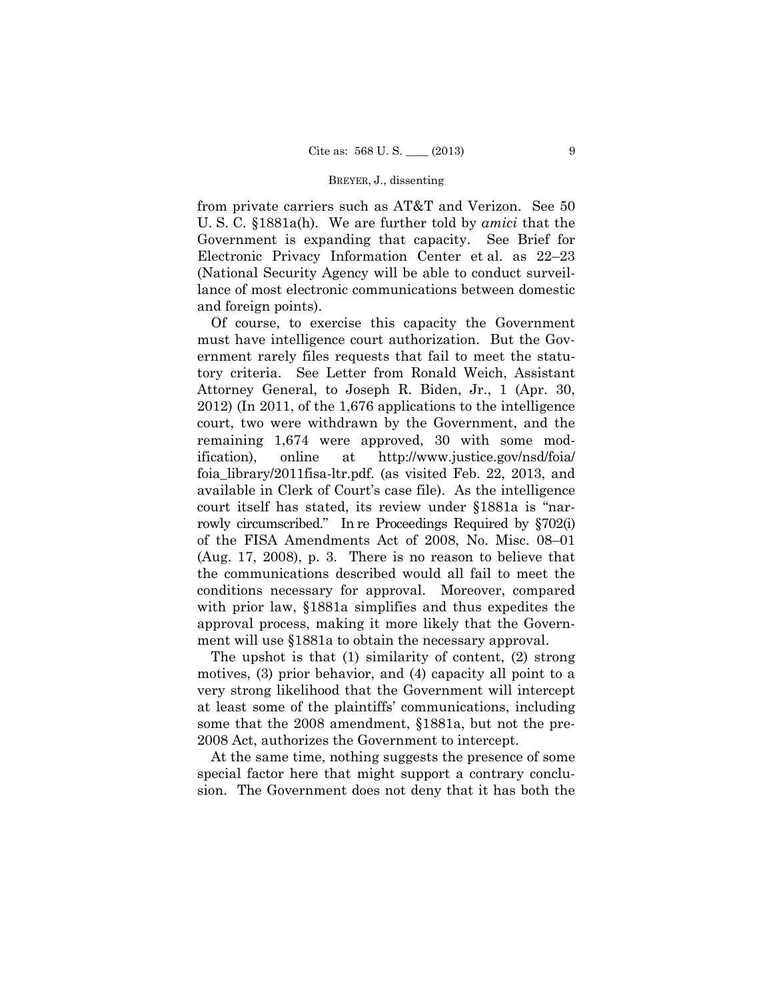from private carriers such as AT&T and Verizon. See 50 U. S. C. §1881a(h). We are further told by *amici* that the Government is expanding that capacity. See Brief for Electronic Privacy Information Center et al. as 22–23 (National Security Agency will be able to conduct surveillance of most electronic communications between domestic and foreign points).

 rowly circumscribed." In re Proceedings Required by §702(i) Of course, to exercise this capacity the Government must have intelligence court authorization. But the Government rarely files requests that fail to meet the statutory criteria. See Letter from Ronald Weich, Assistant Attorney General, to Joseph R. Biden, Jr., 1 (Apr. 30, 2012) (In 2011, of the 1,676 applications to the intelligence court, two were withdrawn by the Government, and the remaining 1,674 were approved, 30 with some modification), online at http://www.justice.gov/nsd/foia/ foia\_library/2011fisa-ltr.pdf. (as visited Feb. 22, 2013, and available in Clerk of Court's case file). As the intelligence court itself has stated, its review under §1881a is "narof the FISA Amendments Act of 2008, No. Misc. 08–01 (Aug. 17, 2008), p. 3. There is no reason to believe that the communications described would all fail to meet the conditions necessary for approval. Moreover, compared with prior law, §1881a simplifies and thus expedites the approval process, making it more likely that the Government will use §1881a to obtain the necessary approval.

The upshot is that (1) similarity of content, (2) strong motives, (3) prior behavior, and (4) capacity all point to a very strong likelihood that the Government will intercept at least some of the plaintiffs' communications, including some that the 2008 amendment, §1881a, but not the pre-2008 Act, authorizes the Government to intercept.

At the same time, nothing suggests the presence of some special factor here that might support a contrary conclusion. The Government does not deny that it has both the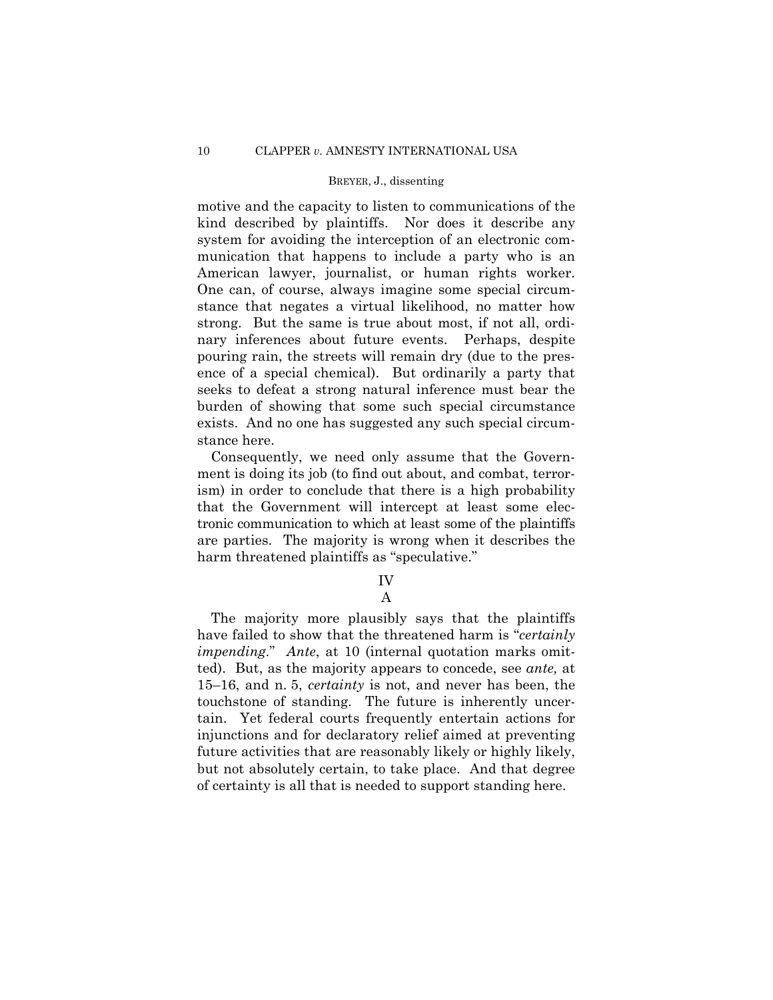motive and the capacity to listen to communications of the kind described by plaintiffs. Nor does it describe any system for avoiding the interception of an electronic communication that happens to include a party who is an American lawyer, journalist, or human rights worker. One can, of course, always imagine some special circumstance that negates a virtual likelihood, no matter how strong. But the same is true about most, if not all, ordinary inferences about future events. Perhaps, despite pouring rain, the streets will remain dry (due to the presence of a special chemical). But ordinarily a party that seeks to defeat a strong natural inference must bear the burden of showing that some such special circumstance exists. And no one has suggested any such special circumstance here.

Consequently, we need only assume that the Government is doing its job (to find out about, and combat, terrorism) in order to conclude that there is a high probability that the Government will intercept at least some electronic communication to which at least some of the plaintiffs are parties. The majority is wrong when it describes the harm threatened plaintiffs as "speculative."

## IV A

 *impending*." *Ante*, at 10 (internal quotation marks omit-The majority more plausibly says that the plaintiffs have failed to show that the threatened harm is "*certainly*  ted). But, as the majority appears to concede, see *ante,* at 15–16, and n. 5, *certainty* is not, and never has been, the touchstone of standing. The future is inherently uncertain. Yet federal courts frequently entertain actions for injunctions and for declaratory relief aimed at preventing future activities that are reasonably likely or highly likely, but not absolutely certain, to take place. And that degree of certainty is all that is needed to support standing here.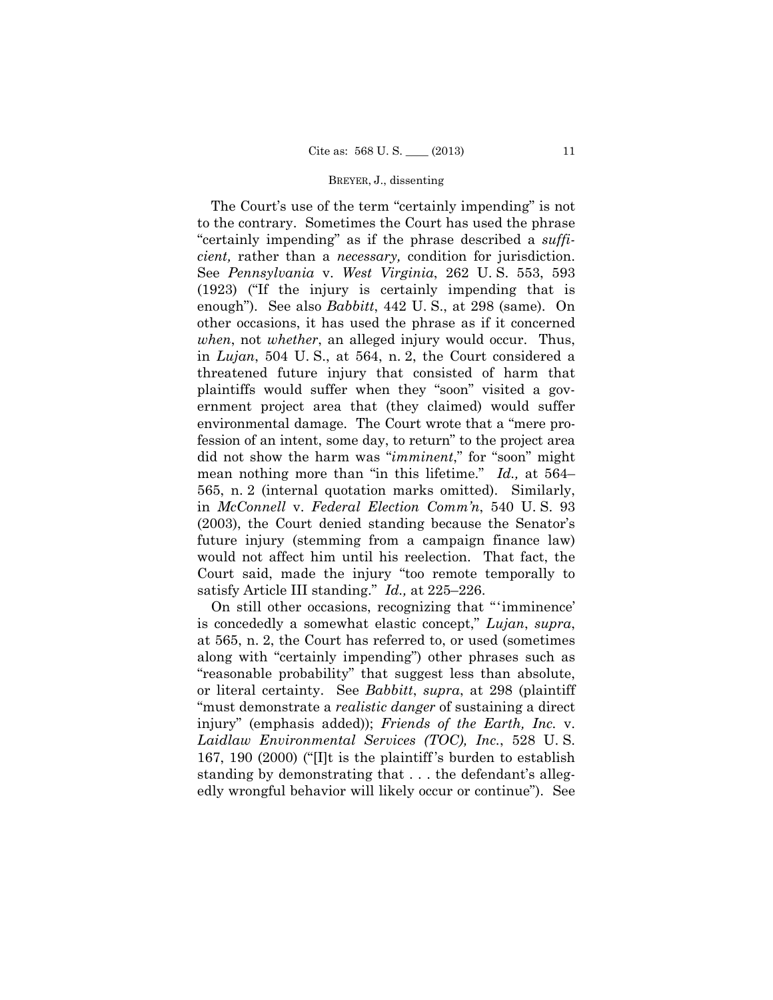environmental damage. The Court wrote that a "mere pro-The Court's use of the term "certainly impending" is not to the contrary. Sometimes the Court has used the phrase "certainly impending" as if the phrase described a *sufficient,* rather than a *necessary,* condition for jurisdiction. See *Pennsylvania* v. *West Virginia*, 262 U. S. 553, 593 (1923) ("If the injury is certainly impending that is enough"). See also *Babbitt*, 442 U. S., at 298 (same). On other occasions, it has used the phrase as if it concerned *when*, not *whether*, an alleged injury would occur. Thus, in *Lujan*, 504 U. S., at 564, n. 2, the Court considered a threatened future injury that consisted of harm that plaintiffs would suffer when they "soon" visited a government project area that (they claimed) would suffer fession of an intent, some day, to return" to the project area did not show the harm was "*imminent*," for "soon" might mean nothing more than "in this lifetime." *Id.,* at 564– 565, n. 2 (internal quotation marks omitted). Similarly, in *McConnell* v. *Federal Election Comm'n*, 540 U. S. 93 (2003), the Court denied standing because the Senator's future injury (stemming from a campaign finance law) would not affect him until his reelection. That fact, the Court said, made the injury "too remote temporally to satisfy Article III standing." *Id.,* at 225–226.

 On still other occasions, recognizing that "'imminence' is concededly a somewhat elastic concept," *Lujan*, *supra*, at 565, n. 2, the Court has referred to, or used (sometimes along with "certainly impending") other phrases such as "reasonable probability" that suggest less than absolute, or literal certainty. See *Babbitt*, *supra*, at 298 (plaintiff "must demonstrate a *realistic danger* of sustaining a direct injury" (emphasis added)); *Friends of the Earth, Inc.* v. *Laidlaw Environmental Services (TOC), Inc.*, 528 U. S. 167, 190 (2000) ("[I]t is the plaintiff 's burden to establish standing by demonstrating that . . . the defendant's allegedly wrongful behavior will likely occur or continue"). See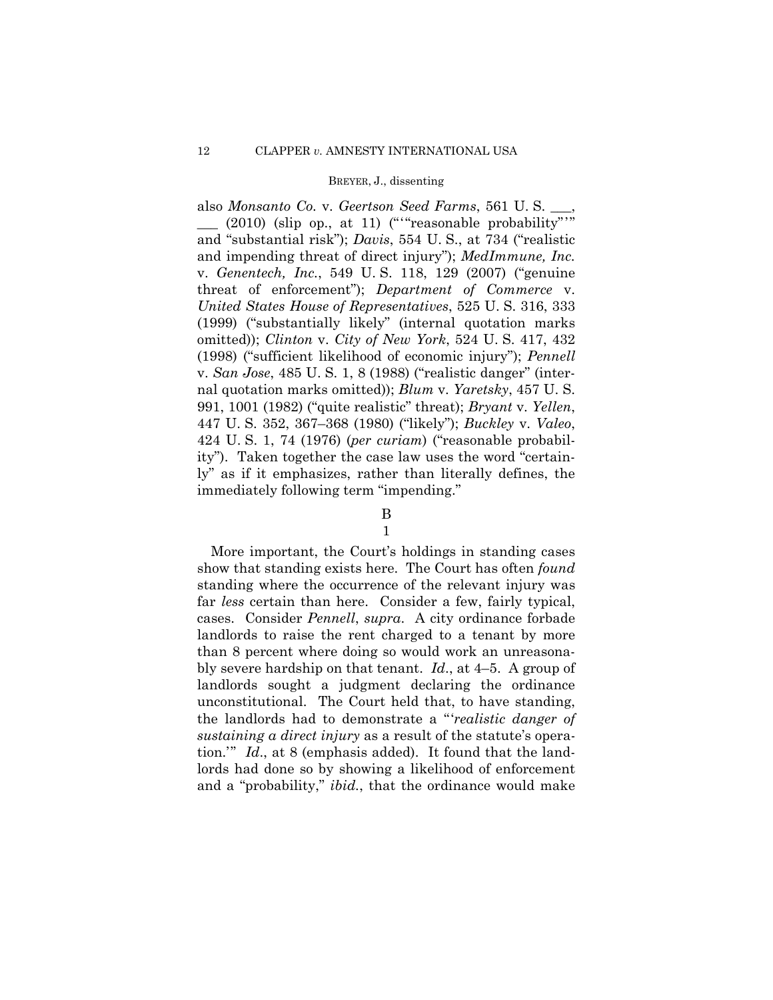$\frac{1}{2010}$  (slip op., at 11) (""reasonable probability"" also *Monsanto Co.* v. *Geertson Seed Farms*, 561 U. S. \_\_\_, and "substantial risk"); *Davis*, 554 U. S., at 734 ("realistic and impending threat of direct injury"); *MedImmune, Inc.*  v. *Genentech, Inc.*, 549 U. S. 118, 129 (2007) ("genuine threat of enforcement"); *Department of Commerce* v. *United States House of Representatives*, 525 U. S. 316, 333 (1999) ("substantially likely" (internal quotation marks omitted)); *Clinton* v. *City of New York*, 524 U. S. 417, 432 (1998) ("sufficient likelihood of economic injury"); *Pennell*  v. *San Jose*, 485 U. S. 1, 8 (1988) ("realistic danger" (internal quotation marks omitted)); *Blum* v. *Yaretsky*, 457 U. S. 991, 1001 (1982) ("quite realistic" threat); *Bryant* v. *Yellen*, 447 U. S. 352, 367–368 (1980) ("likely"); *Buckley* v. *Valeo*, 424 U. S. 1, 74 (1976) (*per curiam*) ("reasonable probability"). Taken together the case law uses the word "certainly" as if it emphasizes, rather than literally defines, the immediately following term "impending."

# B

## 1

 bly severe hardship on that tenant. *Id*., at 4–5. A group of More important, the Court's holdings in standing cases show that standing exists here. The Court has often *found*  standing where the occurrence of the relevant injury was far *less* certain than here. Consider a few, fairly typical, cases. Consider *Pennell*, *supra*. A city ordinance forbade landlords to raise the rent charged to a tenant by more than 8 percent where doing so would work an unreasonalandlords sought a judgment declaring the ordinance unconstitutional. The Court held that, to have standing, the landlords had to demonstrate a "'*realistic danger of sustaining a direct injury* as a result of the statute's operation.'" *Id*., at 8 (emphasis added). It found that the landlords had done so by showing a likelihood of enforcement and a "probability," *ibid.*, that the ordinance would make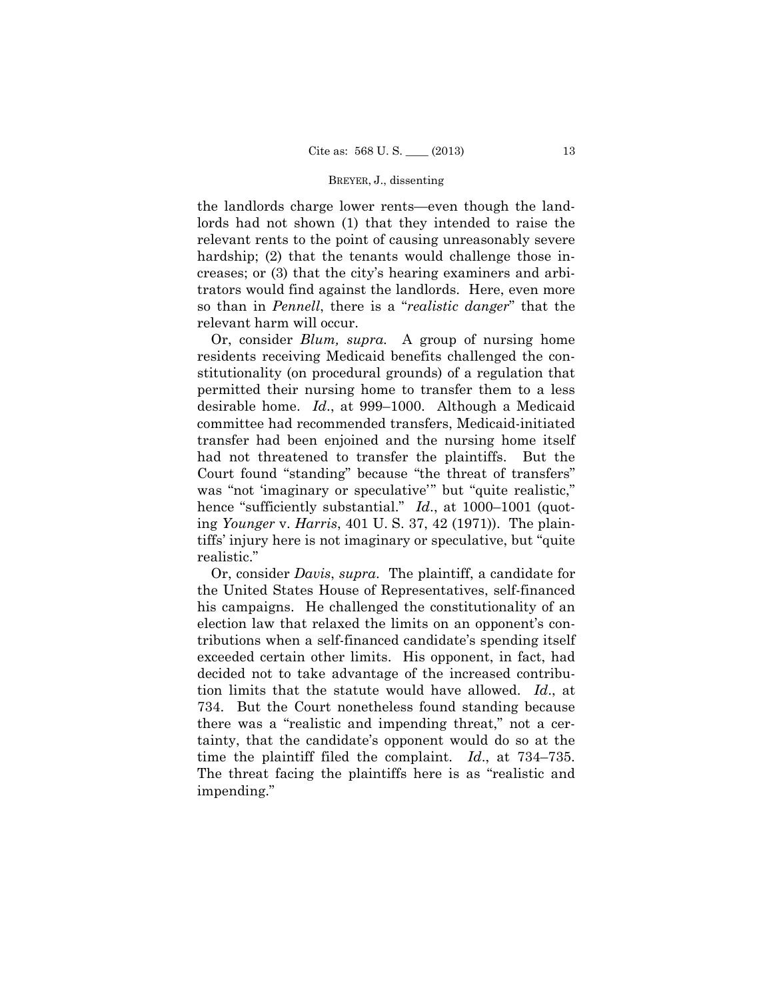the landlords charge lower rents—even though the landlords had not shown (1) that they intended to raise the relevant rents to the point of causing unreasonably severe hardship; (2) that the tenants would challenge those increases; or (3) that the city's hearing examiners and arbitrators would find against the landlords. Here, even more so than in *Pennell*, there is a "*realistic danger*" that the relevant harm will occur.

 Or, consider *Blum, supra.* A group of nursing home residents receiving Medicaid benefits challenged the constitutionality (on procedural grounds) of a regulation that permitted their nursing home to transfer them to a less desirable home. *Id*., at 999–1000. Although a Medicaid committee had recommended transfers, Medicaid-initiated transfer had been enjoined and the nursing home itself had not threatened to transfer the plaintiffs. But the Court found "standing" because "the threat of transfers" was "not 'imaginary or speculative'" but "quite realistic," hence "sufficiently substantial." *Id.*, at 1000–1001 (quoting *Younger* v. *Harris*, 401 U. S. 37, 42 (1971)). The plaintiffs' injury here is not imaginary or speculative, but "quite realistic."

 Or, consider *Davis*, *supra*. The plaintiff, a candidate for the United States House of Representatives, self-financed his campaigns. He challenged the constitutionality of an election law that relaxed the limits on an opponent's contributions when a self-financed candidate's spending itself exceeded certain other limits. His opponent, in fact, had decided not to take advantage of the increased contribution limits that the statute would have allowed. *Id*., at 734. But the Court nonetheless found standing because there was a "realistic and impending threat," not a certainty, that the candidate's opponent would do so at the time the plaintiff filed the complaint. *Id*., at 734–735. The threat facing the plaintiffs here is as "realistic and impending."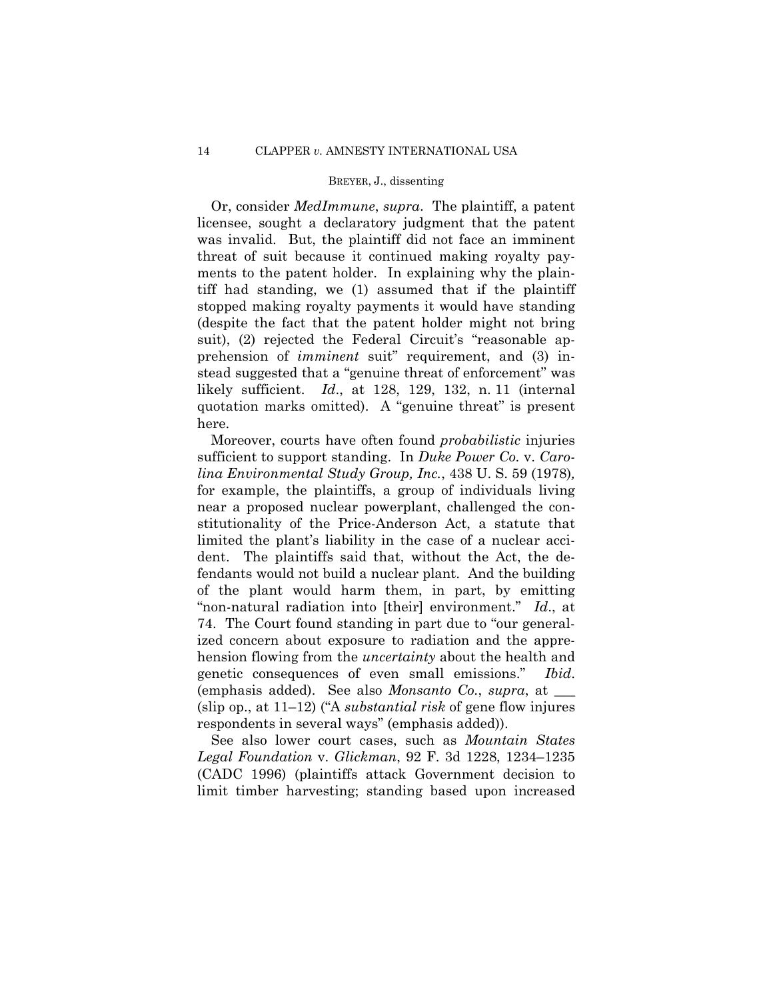stead suggested that a "genuine threat of enforcement" was Or, consider *MedImmune*, *supra*. The plaintiff, a patent licensee, sought a declaratory judgment that the patent was invalid. But, the plaintiff did not face an imminent threat of suit because it continued making royalty payments to the patent holder. In explaining why the plaintiff had standing, we (1) assumed that if the plaintiff stopped making royalty payments it would have standing (despite the fact that the patent holder might not bring suit), (2) rejected the Federal Circuit's "reasonable apprehension of *imminent* suit" requirement, and (3) inlikely sufficient. *Id*., at 128, 129, 132, n. 11 (internal quotation marks omitted). A "genuine threat" is present here.

Moreover, courts have often found *probabilistic* injuries sufficient to support standing. In *Duke Power Co.* v. *Carolina Environmental Study Group, Inc.*, 438 U. S. 59 (1978)*,*  for example, the plaintiffs, a group of individuals living near a proposed nuclear powerplant, challenged the constitutionality of the Price-Anderson Act, a statute that limited the plant's liability in the case of a nuclear accident. The plaintiffs said that, without the Act, the defendants would not build a nuclear plant. And the building of the plant would harm them, in part, by emitting "non-natural radiation into [their] environment." *Id*., at 74. The Court found standing in part due to "our generalized concern about exposure to radiation and the apprehension flowing from the *uncertainty* about the health and genetic consequences of even small emissions." *Ibid*. (emphasis added). See also *Monsanto Co.*, *supra*, at \_\_\_ (slip op., at 11–12) ("A *substantial risk* of gene flow injures respondents in several ways" (emphasis added)).

See also lower court cases, such as *Mountain States Legal Foundation* v. *Glickman*, 92 F. 3d 1228, 1234–1235 (CADC 1996) (plaintiffs attack Government decision to limit timber harvesting; standing based upon increased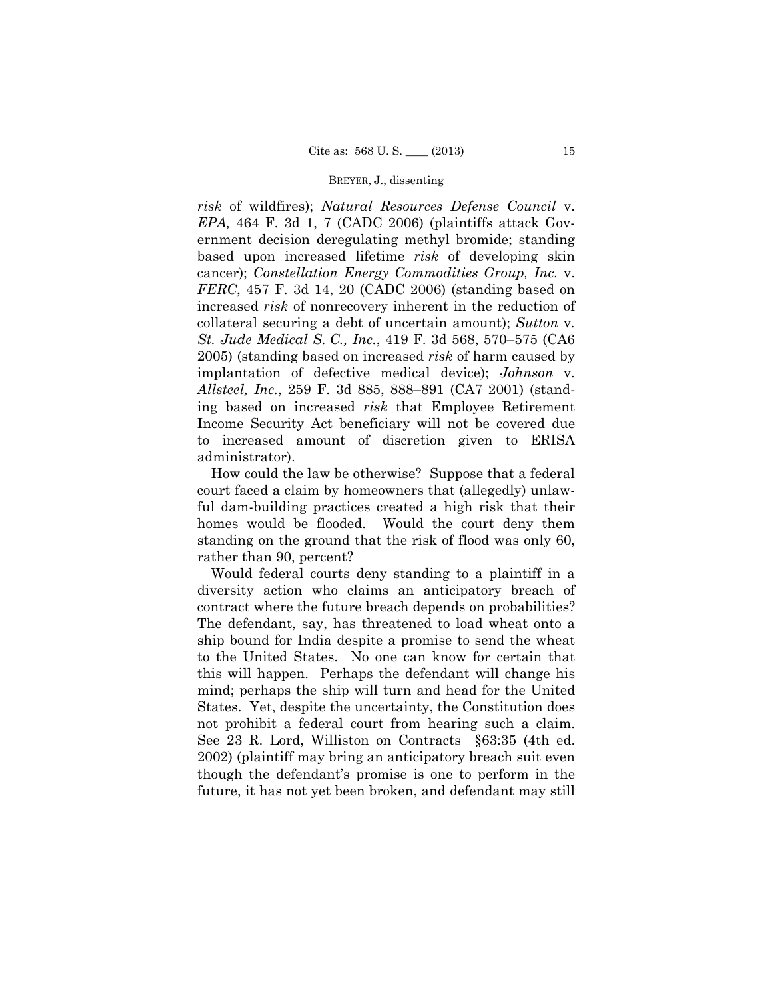*risk* of wildfires); *Natural Resources Defense Council* v. *EPA,* 464 F. 3d 1, 7 (CADC 2006) (plaintiffs attack Government decision deregulating methyl bromide; standing based upon increased lifetime *risk* of developing skin cancer); *Constellation Energy Commodities Group, Inc.* v. *FERC*, 457 F. 3d 14, 20 (CADC 2006) (standing based on increased *risk* of nonrecovery inherent in the reduction of collateral securing a debt of uncertain amount); *Sutton* v*. St. Jude Medical S. C., Inc.*, 419 F. 3d 568, 570–575 (CA6 2005) (standing based on increased *risk* of harm caused by implantation of defective medical device); *Johnson* v. *Allsteel, Inc.*, 259 F. 3d 885, 888–891 (CA7 2001) (standing based on increased *risk* that Employee Retirement Income Security Act beneficiary will not be covered due to increased amount of discretion given to ERISA administrator).

 ful dam-building practices created a high risk that their How could the law be otherwise? Suppose that a federal court faced a claim by homeowners that (allegedly) unlawhomes would be flooded. Would the court deny them standing on the ground that the risk of flood was only 60, rather than 90, percent?

 contract where the future breach depends on probabilities? Would federal courts deny standing to a plaintiff in a diversity action who claims an anticipatory breach of The defendant, say, has threatened to load wheat onto a ship bound for India despite a promise to send the wheat to the United States. No one can know for certain that this will happen. Perhaps the defendant will change his mind; perhaps the ship will turn and head for the United States. Yet, despite the uncertainty, the Constitution does not prohibit a federal court from hearing such a claim. See 23 R. Lord, Williston on Contracts §63:35 (4th ed. 2002) (plaintiff may bring an anticipatory breach suit even though the defendant's promise is one to perform in the future, it has not yet been broken, and defendant may still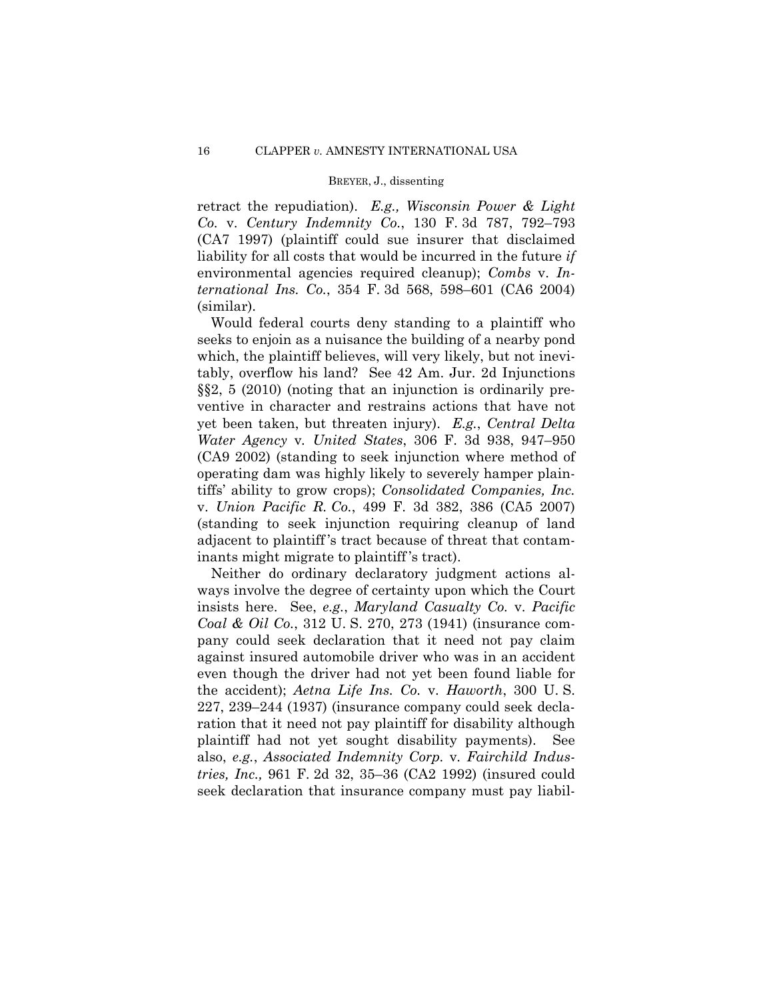retract the repudiation). *E.g., Wisconsin Power & Light Co.* v. *Century Indemnity Co.*, 130 F. 3d 787, 792–793 (CA7 1997) (plaintiff could sue insurer that disclaimed liability for all costs that would be incurred in the future *if*  environmental agencies required cleanup); *Combs* v. *International Ins. Co.*, 354 F. 3d 568, 598–601 (CA6 2004) (similar).

Would federal courts deny standing to a plaintiff who seeks to enjoin as a nuisance the building of a nearby pond which, the plaintiff believes, will very likely, but not inevitably, overflow his land? See 42 Am. Jur. 2d Injunctions §§2, 5 (2010) (noting that an injunction is ordinarily preventive in character and restrains actions that have not yet been taken, but threaten injury). *E.g.*, *Central Delta Water Agency* v*. United States*, 306 F. 3d 938, 947–950 (CA9 2002) (standing to seek injunction where method of operating dam was highly likely to severely hamper plaintiffs' ability to grow crops); *Consolidated Companies, Inc.*  v. *Union Pacific R. Co.*, 499 F. 3d 382, 386 (CA5 2007) (standing to seek injunction requiring cleanup of land adjacent to plaintiff 's tract because of threat that contaminants might migrate to plaintiff 's tract).

Neither do ordinary declaratory judgment actions always involve the degree of certainty upon which the Court insists here. See, *e.g.*, *Maryland Casualty Co.* v. *Pacific Coal & Oil Co.*, 312 U. S. 270, 273 (1941) (insurance company could seek declaration that it need not pay claim against insured automobile driver who was in an accident even though the driver had not yet been found liable for the accident); *Aetna Life Ins. Co.* v. *Haworth*, 300 U. S. 227, 239–244 (1937) (insurance company could seek declaration that it need not pay plaintiff for disability although plaintiff had not yet sought disability payments). See also, *e.g.*, *Associated Indemnity Corp.* v*. Fairchild Industries, Inc.,* 961 F. 2d 32, 35–36 (CA2 1992) (insured could seek declaration that insurance company must pay liabil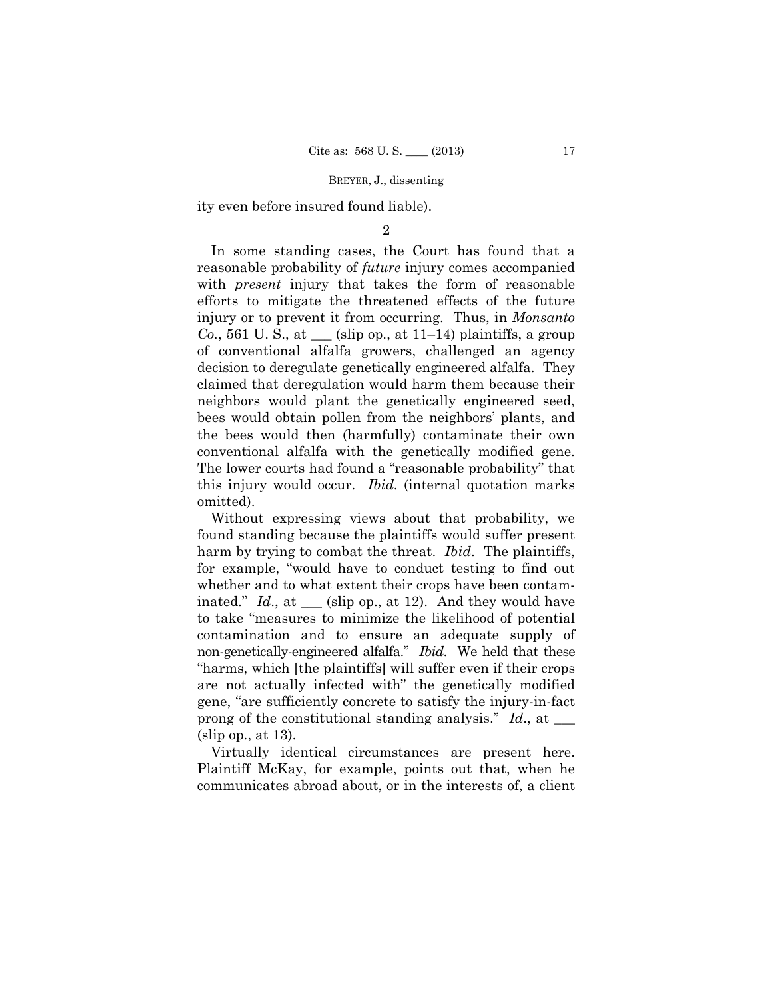ity even before insured found liable).

## $\mathfrak{D}$

In some standing cases, the Court has found that a reasonable probability of *future* injury comes accompanied with *present* injury that takes the form of reasonable efforts to mitigate the threatened effects of the future injury or to prevent it from occurring. Thus, in *Monsanto Co.*, 561 U. S., at  $\equiv$  (slip op., at 11–14) plaintiffs, a group of conventional alfalfa growers, challenged an agency decision to deregulate genetically engineered alfalfa. They claimed that deregulation would harm them because their neighbors would plant the genetically engineered seed, bees would obtain pollen from the neighbors' plants, and the bees would then (harmfully) contaminate their own conventional alfalfa with the genetically modified gene. The lower courts had found a "reasonable probability" that this injury would occur. *Ibid.* (internal quotation marks omitted).

 non-genetically-engineered alfalfa." *Ibid*. We held that these Without expressing views about that probability, we found standing because the plaintiffs would suffer present harm by trying to combat the threat. *Ibid*. The plaintiffs, for example, "would have to conduct testing to find out whether and to what extent their crops have been contaminated." *Id.*, at \_\_\_ (slip op., at 12). And they would have to take "measures to minimize the likelihood of potential contamination and to ensure an adequate supply of "harms, which [the plaintiffs] will suffer even if their crops are not actually infected with" the genetically modified gene, "are sufficiently concrete to satisfy the injury-in-fact prong of the constitutional standing analysis." *Id*., at \_\_\_ (slip op., at 13).

Virtually identical circumstances are present here. Plaintiff McKay, for example, points out that, when he communicates abroad about, or in the interests of, a client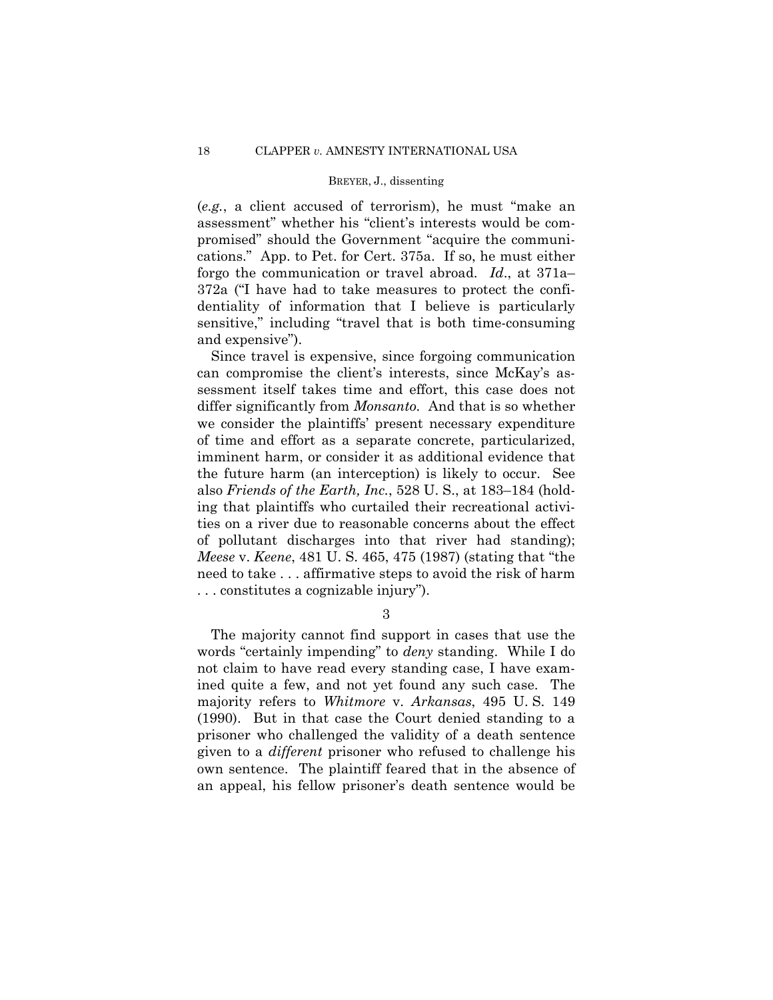(*e.g.*, a client accused of terrorism), he must "make an assessment" whether his "client's interests would be compromised" should the Government "acquire the communications." App. to Pet. for Cert. 375a. If so, he must either forgo the communication or travel abroad. *Id*., at 371a– 372a ("I have had to take measures to protect the confidentiality of information that I believe is particularly sensitive," including "travel that is both time-consuming and expensive").

Since travel is expensive, since forgoing communication can compromise the client's interests, since McKay's assessment itself takes time and effort, this case does not differ significantly from *Monsanto.* And that is so whether we consider the plaintiffs' present necessary expenditure of time and effort as a separate concrete, particularized, imminent harm, or consider it as additional evidence that the future harm (an interception) is likely to occur. See also *Friends of the Earth, Inc.*, 528 U. S., at 183–184 (holding that plaintiffs who curtailed their recreational activities on a river due to reasonable concerns about the effect of pollutant discharges into that river had standing); *Meese* v. *Keene*, 481 U. S. 465, 475 (1987) (stating that "the need to take . . . affirmative steps to avoid the risk of harm . . . constitutes a cognizable injury").

3

The majority cannot find support in cases that use the words "certainly impending" to *deny* standing. While I do not claim to have read every standing case, I have examined quite a few, and not yet found any such case. The majority refers to *Whitmore* v. *Arkansas*, 495 U. S. 149 (1990). But in that case the Court denied standing to a prisoner who challenged the validity of a death sentence given to a *different* prisoner who refused to challenge his own sentence. The plaintiff feared that in the absence of an appeal, his fellow prisoner's death sentence would be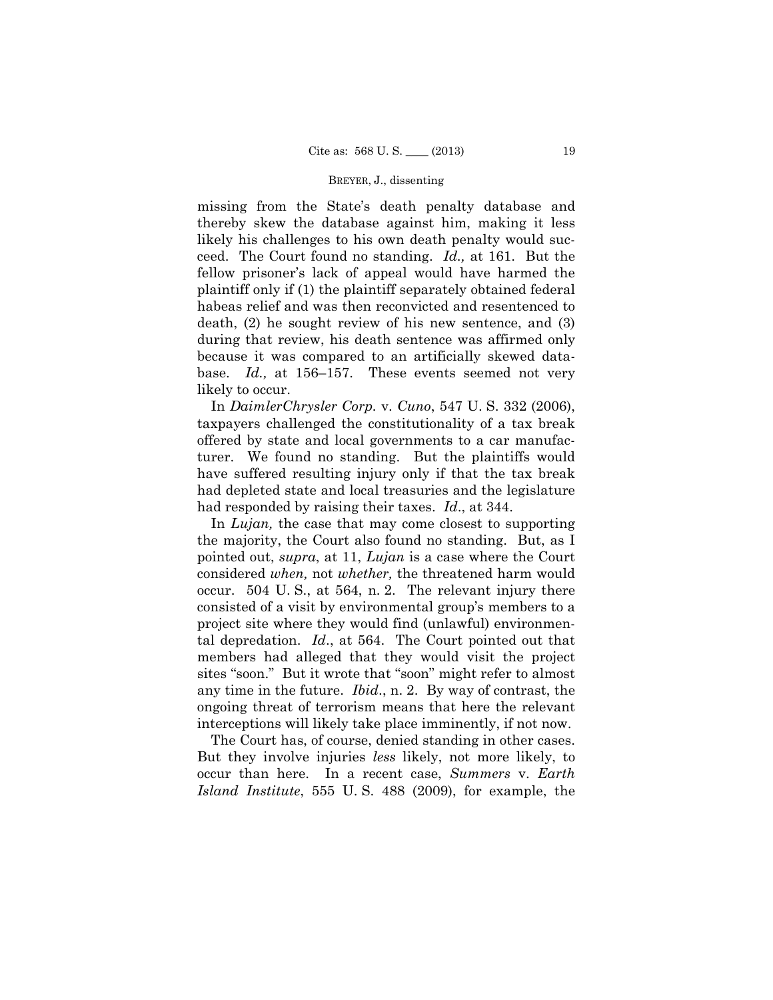missing from the State's death penalty database and thereby skew the database against him, making it less likely his challenges to his own death penalty would succeed. The Court found no standing. *Id.,* at 161. But the fellow prisoner's lack of appeal would have harmed the plaintiff only if (1) the plaintiff separately obtained federal habeas relief and was then reconvicted and resentenced to death, (2) he sought review of his new sentence, and (3) during that review, his death sentence was affirmed only because it was compared to an artificially skewed database. *Id.,* at 156–157. These events seemed not very likely to occur.

In *DaimlerChrysler Corp.* v. *Cuno*, 547 U. S. 332 (2006), taxpayers challenged the constitutionality of a tax break offered by state and local governments to a car manufacturer. We found no standing. But the plaintiffs would have suffered resulting injury only if that the tax break had depleted state and local treasuries and the legislature had responded by raising their taxes. *Id*., at 344.

In *Lujan,* the case that may come closest to supporting the majority, the Court also found no standing. But, as I pointed out, *supra*, at 11, *Lujan* is a case where the Court considered *when,* not *whether,* the threatened harm would occur. 504 U. S., at 564, n. 2. The relevant injury there consisted of a visit by environmental group's members to a project site where they would find (unlawful) environmental depredation. *Id*., at 564. The Court pointed out that members had alleged that they would visit the project sites "soon." But it wrote that "soon" might refer to almost any time in the future. *Ibid*., n. 2. By way of contrast, the ongoing threat of terrorism means that here the relevant interceptions will likely take place imminently, if not now.

The Court has, of course, denied standing in other cases. But they involve injuries *less* likely, not more likely, to occur than here. In a recent case, *Summers* v. *Earth Island Institute*, 555 U. S. 488 (2009), for example, the